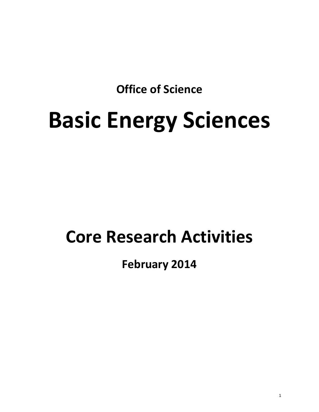**Office of Science**

# **Basic Energy Sciences**

## **Core Research Activities**

### **February 2014**

1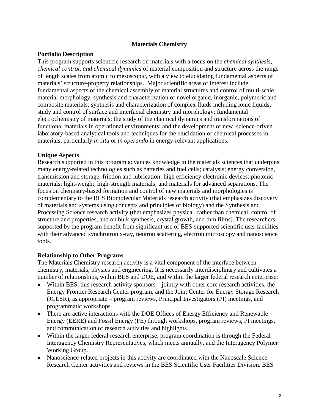#### **Materials Chemistry**

#### **Portfolio Description**

This program supports scientific research on materials with a focus on the *chemical synthesis*, *chemical control, and chemical dynamics* of material composition and structure across the range of length scales from atomic to mesoscopic, with a view to elucidating fundamental aspects of materials' structure-property relationships. Major scientific areas of interest include: fundamental aspects of the chemical assembly of material structures and control of multi-scale material morphology; synthesis and characterization of novel organic, inorganic, polymeric and composite materials; synthesis and characterization of complex fluids including ionic liquids; study and control of surface and interfacial chemistry and morphology; fundamental electrochemistry of materials; the study of the chemical dynamics and transformations of functional materials in operational environments; and the development of new, science-driven laboratory-based analytical tools and techniques for the elucidation of chemical processes in materials, particularly *in situ* or *in operando* in energy-relevant applications.

#### **Unique Aspects**

Research supported in this program advances knowledge in the materials sciences that underpins many energy-related technologies such as batteries and fuel cells; catalysis; energy conversion, transmission and storage; friction and lubrication; high efficiency electronic devices; photonic materials; light-weight, high-strength materials; and materials for advanced separations. The focus on chemistry-based formation and control of new materials and morphologies is complementary to the BES Biomolecular Materials research activity (that emphasizes discovery of materials and systems using concepts and principles of biology) and the Synthesis and Processing Science research activity (that emphasizes physical, rather than chemical, control of structure and properties, and on bulk synthesis, crystal growth, and thin films). The researchers supported by the program benefit from significant use of BES-supported scientific user facilities with their advanced synchrotron x-ray, neutron scattering, electron microscopy and nanoscience tools.

#### **Relationship to Other Programs**

The Materials Chemistry research activity is a vital component of the interface between chemistry, materials, physics and engineering. It is necessarily interdisciplinary and cultivates a number of relationships, within BES and DOE, and within the larger federal research enterprise:

- Within BES, this research activity sponsors jointly with other core research activities, the Energy Frontier Research Center program, and the Joint Center for Energy Storage Research (JCESR), as appropriate – program reviews, Principal Investigators (PI) meetings, and programmatic workshops.
- There are active interactions with the DOE Offices of Energy Efficiency and Renewable Energy (EERE) and Fossil Energy (FE) through workshops, program reviews, PI meetings, and communication of research activities and highlights.
- Within the larger federal research enterprise, program coordination is through the Federal Interagency Chemistry Representatives, which meets annually, and the Interagency Polymer Working Group.
- Nanoscience-related projects in this activity are coordinated with the Nanoscale Science Research Center activities and reviews in the BES Scientific User Facilities Division. BES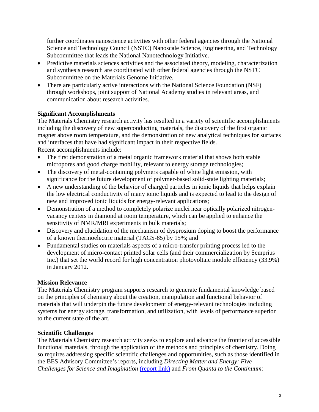further coordinates nanoscience activities with other federal agencies through the National Science and Technology Council (NSTC) Nanoscale Science, Engineering, and Technology Subcommittee that leads the National Nanotechnology Initiative.

- Predictive materials sciences activities and the associated theory, modeling, characterization and synthesis research are coordinated with other federal agencies through the NSTC Subcommittee on the Materials Genome Initiative.
- There are particularly active interactions with the National Science Foundation (NSF) through workshops, joint support of National Academy studies in relevant areas, and communication about research activities.

#### **Significant Accomplishments**

The Materials Chemistry research activity has resulted in a variety of scientific accomplishments including the discovery of new superconducting materials, the discovery of the first organic magnet above room temperature, and the demonstration of new analytical techniques for surfaces and interfaces that have had significant impact in their respective fields.

Recent accomplishments include:

- The first demonstration of a metal organic framework material that shows both stable micropores and good charge mobility, relevant to energy storage technologies;
- The discovery of metal-containing polymers capable of white light emission, with significance for the future development of polymer-based solid-state lighting materials;
- A new understanding of the behavior of charged particles in ionic liquids that helps explain the low electrical conductivity of many ionic liquids and is expected to lead to the design of new and improved ionic liquids for energy-relevant applications;
- Demonstration of a method to completely polarize nuclei near optically polarized nitrogenvacancy centers in diamond at room temperature, which can be applied to enhance the sensitivity of NMR/MRI experiments in bulk materials;
- Discovery and elucidation of the mechanism of dysprosium doping to boost the performance of a known thermoelectric material (TAGS-85) by 15%; and
- Fundamental studies on materials aspects of a micro-transfer printing process led to the development of micro-contact printed solar cells (and their commercialization by Semprius Inc.) that set the world record for high concentration photovoltaic module efficiency (33.9%) in January 2012.

#### **Mission Relevance**

The Materials Chemistry program supports research to generate fundamental knowledge based on the principles of chemistry about the creation, manipulation and functional behavior of materials that will underpin the future development of energy-relevant technologies including systems for energy storage, transformation, and utilization, with levels of performance superior to the current state of the art.

#### **Scientific Challenges**

The Materials Chemistry research activity seeks to explore and advance the frontier of accessible functional materials, through the application of the methods and principles of chemistry. Doing so requires addressing specific scientific challenges and opportunities, such as those identified in the BES Advisory Committee's reports, including *Directing Matter and Energy: Five Challenges for Science and Imagination* [\(report link\)](http://science.energy.gov/~/media/bes/pdf/reports/files/gc_rpt.pdf) and *From Quanta to the Continuum:*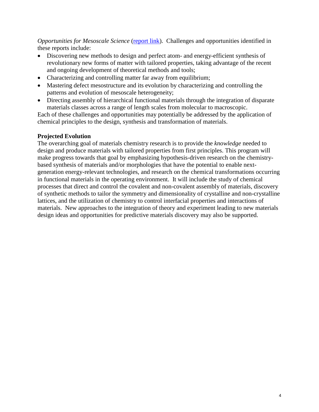*Opportunities for Mesoscale Science* [\(report link\)](http://science.energy.gov/~/media/bes/pdf/reports/files/OFMS_rpt.pdf). Challenges and opportunities identified in these reports include:

- Discovering new methods to design and perfect atom- and energy-efficient synthesis of revolutionary new forms of matter with tailored properties, taking advantage of the recent and ongoing development of theoretical methods and tools;
- Characterizing and controlling matter far away from equilibrium;
- Mastering defect mesostructure and its evolution by characterizing and controlling the patterns and evolution of mesoscale heterogeneity;
- Directing assembly of hierarchical functional materials through the integration of disparate materials classes across a range of length scales from molecular to macroscopic.

Each of these challenges and opportunities may potentially be addressed by the application of chemical principles to the design, synthesis and transformation of materials.

#### **Projected Evolution**

The overarching goal of materials chemistry research is to provide the *knowledge* needed to design and produce materials with tailored properties from first principles. This program will make progress towards that goal by emphasizing hypothesis-driven research on the chemistrybased synthesis of materials and/or morphologies that have the potential to enable nextgeneration energy-relevant technologies, and research on the chemical transformations occurring in functional materials in the operating environment. It will include the study of chemical processes that direct and control the covalent and non-covalent assembly of materials, discovery of synthetic methods to tailor the symmetry and dimensionality of crystalline and non-crystalline lattices, and the utilization of chemistry to control interfacial properties and interactions of materials. New approaches to the integration of theory and experiment leading to new materials design ideas and opportunities for predictive materials discovery may also be supported.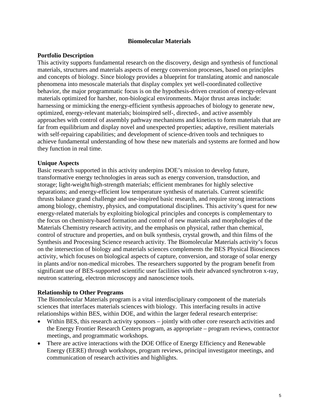#### **Biomolecular Materials**

#### **Portfolio Description**

This activity supports fundamental research on the discovery, design and synthesis of functional materials, structures and materials aspects of energy conversion processes, based on principles and concepts of biology. Since biology provides a blueprint for translating atomic and nanoscale phenomena into mesoscale materials that display complex yet well-coordinated collective behavior, the major programmatic focus is on the hypothesis-driven creation of energy-relevant materials optimized for harsher, non-biological environments. Major thrust areas include: harnessing or mimicking the energy-efficient synthesis approaches of biology to generate new, optimized, energy-relevant materials; bioinspired self-, directed-, and active assembly approaches with control of assembly pathway mechanisms and kinetics to form materials that are far from equilibrium and display novel and unexpected properties; adaptive, resilient materials with self-repairing capabilities; and development of science-driven tools and techniques to achieve fundamental understanding of how these new materials and systems are formed and how they function in real time.

#### **Unique Aspects**

Basic research supported in this activity underpins DOE's mission to develop future, transformative energy technologies in areas such as energy conversion, transduction, and storage; light-weight/high-strength materials; efficient membranes for highly selective separations; and energy-efficient low temperature synthesis of materials. Current scientific thrusts balance grand challenge and use-inspired basic research, and require strong interactions among biology, chemistry, physics, and computational disciplines. This activity's quest for new energy-related materials by exploiting biological principles and concepts is complementary to the focus on chemistry-based formation and control of new materials and morphologies of the Materials Chemistry research activity, and the emphasis on physical, rather than chemical, control of structure and properties, and on bulk synthesis, crystal growth, and thin films of the Synthesis and Processing Science research activity. The Biomolecular Materials activity's focus on the intersection of biology and materials sciences complements the BES Physical Biosciences activity, which focuses on biological aspects of capture, conversion, and storage of solar energy in plants and/or non-medical microbes. The researchers supported by the program benefit from significant use of BES-supported scientific user facilities with their advanced synchrotron x-ray, neutron scattering, electron microscopy and nanoscience tools.

#### **Relationship to Other Programs**

The Biomolecular Materials program is a vital interdisciplinary component of the materials sciences that interfaces materials sciences with biology. This interfacing results in active relationships within BES, within DOE, and within the larger federal research enterprise:

- Within BES, this research activity sponsors jointly with other core research activities and the Energy Frontier Research Centers program, as appropriate – program reviews, contractor meetings, and programmatic workshops.
- There are active interactions with the DOE Office of Energy Efficiency and Renewable Energy (EERE) through workshops, program reviews, principal investigator meetings, and communication of research activities and highlights.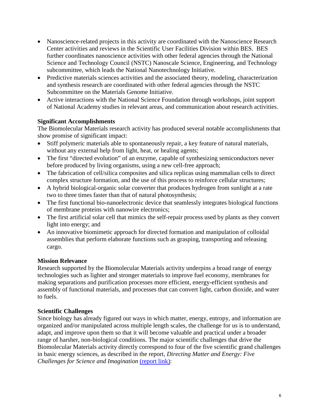- Nanoscience-related projects in this activity are coordinated with the Nanoscience Research Center activities and reviews in the Scientific User Facilities Division within BES. BES further coordinates nanoscience activities with other federal agencies through the National Science and Technology Council (NSTC) Nanoscale Science, Engineering, and Technology subcommittee, which leads the National Nanotechnology Initiative.
- Predictive materials sciences activities and the associated theory, modeling, characterization and synthesis research are coordinated with other federal agencies through the NSTC Subcommittee on the Materials Genome Initiative.
- Active interactions with the National Science Foundation through workshops, joint support of National Academy studies in relevant areas, and communication about research activities.

#### **Significant Accomplishments**

The Biomolecular Materials research activity has produced several notable accomplishments that show promise of significant impact:

- Stiff polymeric materials able to spontaneously repair, a key feature of natural materials, without any external help from light, heat, or healing agents;
- The first "directed evolution" of an enzyme, capable of synthesizing semiconductors never before produced by living organisms, using a new cell-free approach;
- The fabrication of cell/silica composites and silica replicas using mammalian cells to direct complex structure formation, and the use of this process to reinforce cellular structures;
- A hybrid biological-organic solar converter that produces hydrogen from sunlight at a rate two to three times faster than that of natural photosynthesis;
- The first functional bio-nanoelectronic device that seamlessly integrates biological functions of membrane proteins with nanowire electronics;
- The first artificial solar cell that mimics the self-repair process used by plants as they convert light into energy; and
- An innovative biomimetic approach for directed formation and manipulation of colloidal assemblies that perform elaborate functions such as grasping, transporting and releasing cargo.

#### **Mission Relevance**

Research supported by the Biomolecular Materials activity underpins a broad range of energy technologies such as lighter and stronger materials to improve fuel economy, membranes for making separations and purification processes more efficient, energy-efficient synthesis and assembly of functional materials, and processes that can convert light, carbon dioxide, and water to fuels.

#### **Scientific Challenges**

Since biology has already figured out ways in which matter, energy, entropy, and information are organized and/or manipulated across multiple length scales, the challenge for us is to understand, adapt, and improve upon them so that it will become valuable and practical under a broader range of harsher, non-biological conditions. The major scientific challenges that drive the Biomolecular Materials activity directly correspond to four of the five scientific grand challenges in basic energy sciences, as described in the report, *Directing Matter and Energy: Five Challenges for Science and Imagination* [\(report link\):](http://science.energy.gov/~/media/bes/pdf/reports/files/gc_rpt.pdf)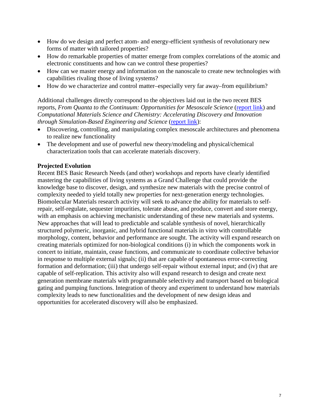- How do we design and perfect atom- and energy-efficient synthesis of revolutionary new forms of matter with tailored properties?
- How do remarkable properties of matter emerge from complex correlations of the atomic and electronic constituents and how can we control these properties?
- How can we master energy and information on the nanoscale to create new technologies with capabilities rivaling those of living systems?
- How do we characterize and control matter–especially very far away–from equilibrium?

Additional challenges directly correspond to the objectives laid out in the two recent BES reports, *From Quanta to the Continuum: Opportunities for Mesoscale Science* [\(report link\)](http://science.energy.gov/~/media/bes/pdf/reports/files/OFMS_rpt.pdf) and *Computational Materials Science and Chemistry: Accelerating Discovery and Innovation through Simulation-Based Engineering and Science* [\(report link\)](http://science.energy.gov/~/media/bes/pdf/reports/files/cmsc_rpt.pdf):

- Discovering, controlling, and manipulating complex mesoscale architectures and phenomena to realize new functionality
- The development and use of powerful new theory/modeling and physical/chemical characterization tools that can accelerate materials discovery.

#### **Projected Evolution**

Recent BES Basic Research Needs (and other) workshops and reports have clearly identified mastering the capabilities of living systems as a Grand Challenge that could provide the knowledge base to discover, design, and synthesize new materials with the precise control of complexity needed to yield totally new properties for next-generation energy technologies. Biomolecular Materials research activity will seek to advance the ability for materials to selfrepair, self-regulate, sequester impurities, tolerate abuse, and produce, convert and store energy, with an emphasis on achieving mechanistic understanding of these new materials and systems. New approaches that will lead to predictable and scalable synthesis of novel, hierarchically structured polymeric, inorganic, and hybrid functional materials in vitro with controllable morphology, content, behavior and performance are sought. The activity will expand research on creating materials optimized for non-biological conditions (i) in which the components work in concert to initiate, maintain, cease functions, and communicate to coordinate collective behavior in response to multiple external signals; (ii) that are capable of spontaneous error-correcting formation and deformation; (iii) that undergo self-repair without external input; and (iv) that are capable of self-replication. This activity also will expand research to design and create next generation membrane materials with programmable selectivity and transport based on biological gating and pumping functions. Integration of theory and experiment to understand how materials complexity leads to new functionalities and the development of new design ideas and opportunities for accelerated discovery will also be emphasized.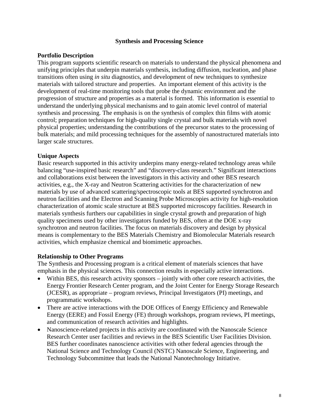#### **Synthesis and Processing Science**

#### **Portfolio Description**

This program supports scientific research on materials to understand the physical phenomena and unifying principles that underpin materials synthesis, including diffusion, nucleation, and phase transitions often using *in situ* diagnostics, and development of new techniques to synthesize materials with tailored structure and properties. An important element of this activity is the development of real-time monitoring tools that probe the dynamic environment and the progression of structure and properties as a material is formed. This information is essential to understand the underlying physical mechanisms and to gain atomic level control of material synthesis and processing. The emphasis is on the synthesis of complex thin films with atomic control; preparation techniques for high-quality single crystal and bulk materials with novel physical properties; understanding the contributions of the precursor states to the processing of bulk materials; and mild processing techniques for the assembly of nanostructured materials into larger scale structures.

#### **Unique Aspects**

Basic research supported in this activity underpins many energy-related technology areas while balancing "use-inspired basic research" and "discovery-class research." Significant interactions and collaborations exist between the investigators in this activity and other BES research activities, e.g., the X-ray and Neutron Scattering activities for the characterization of new materials by use of advanced scattering/spectroscopic tools at BES supported synchrotron and neutron facilities and the Electron and Scanning Probe Microscopies activity for high-resolution characterization of atomic scale structure at BES supported microscopy facilities. Research in materials synthesis furthers our capabilities in single crystal growth and preparation of high quality specimens used by other investigators funded by BES, often at the DOE x-ray synchrotron and neutron facilities. The focus on materials discovery and design by physical means is complementary to the BES Materials Chemistry and Biomolecular Materials research activities, which emphasize chemical and biomimetic approaches.

#### **Relationship to Other Programs**

The Synthesis and Processing program is a critical element of materials sciences that have emphasis in the physical sciences. This connection results in especially active interactions.

- Within BES, this research activity sponsors jointly with other core research activities, the Energy Frontier Research Center program, and the Joint Center for Energy Storage Research (JCESR), as appropriate – program reviews, Principal Investigators (PI) meetings, and programmatic workshops.
- There are active interactions with the DOE Offices of Energy Efficiency and Renewable Energy (EERE) and Fossil Energy (FE) through workshops, program reviews, PI meetings, and communication of research activities and highlights.
- Nanoscience-related projects in this activity are coordinated with the Nanoscale Science Research Center user facilities and reviews in the BES Scientific User Facilities Division. BES further coordinates nanoscience activities with other federal agencies through the National Science and Technology Council (NSTC) Nanoscale Science, Engineering, and Technology Subcommittee that leads the National Nanotechnology Initiative.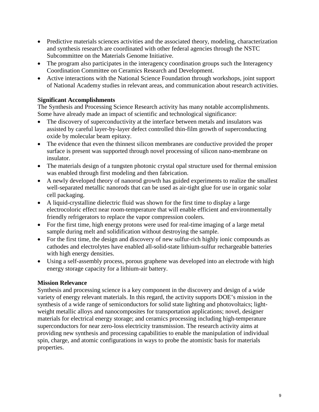- Predictive materials sciences activities and the associated theory, modeling, characterization and synthesis research are coordinated with other federal agencies through the NSTC Subcommittee on the Materials Genome Initiative.
- The program also participates in the interagency coordination groups such the Interagency Coordination Committee on Ceramics Research and Development.
- Active interactions with the National Science Foundation through workshops, joint support of National Academy studies in relevant areas, and communication about research activities.

#### **Significant Accomplishments**

The Synthesis and Processing Science Research activity has many notable accomplishments. Some have already made an impact of scientific and technological significance:

- The discovery of superconductivity at the interface between metals and insulators was assisted by careful layer-by-layer defect controlled thin-film growth of superconducting oxide by molecular beam epitaxy.
- The evidence that even the thinnest silicon membranes are conductive provided the proper surface is present was supported through novel processing of silicon nano-membrane on insulator.
- The materials design of a tungsten photonic crystal opal structure used for thermal emission was enabled through first modeling and then fabrication.
- A newly developed theory of nanorod growth has guided experiments to realize the smallest well-separated metallic nanorods that can be used as air-tight glue for use in organic solar cell packaging.
- A liquid-crystalline dielectric fluid was shown for the first time to display a large electrocoloric effect near room-temperature that will enable efficient and environmentally friendly refrigerators to replace the vapor compression coolers.
- For the first time, high energy protons were used for real-time imaging of a large metal sample during melt and solidification without destroying the sample.
- For the first time, the design and discovery of new sulfur-rich highly ionic compounds as cathodes and electrolytes have enabled all-solid-state lithium-sulfur rechargeable batteries with high energy densities.
- Using a self-assembly process, porous graphene was developed into an electrode with high energy storage capacity for a lithium-air battery.

#### **Mission Relevance**

Synthesis and processing science is a key component in the discovery and design of a wide variety of energy relevant materials. In this regard, the activity supports DOE's mission in the synthesis of a wide range of semiconductors for solid state lighting and photovoltaics; lightweight metallic alloys and nanocomposites for transportation applications; novel, designer materials for electrical energy storage; and ceramics processing including high-temperature superconductors for near zero-loss electricity transmission. The research activity aims at providing new synthesis and processing capabilities to enable the manipulation of individual spin, charge, and atomic configurations in ways to probe the atomistic basis for materials properties.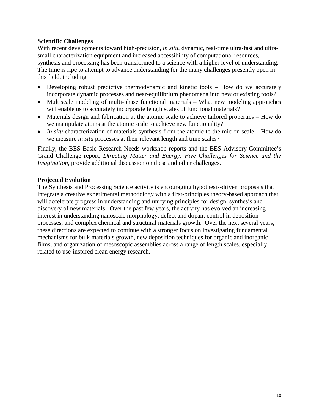#### **Scientific Challenges**

With recent developments toward high-precision, *in situ*, dynamic, real-time ultra-fast and ultrasmall characterization equipment and increased accessibility of computational resources, synthesis and processing has been transformed to a science with a higher level of understanding. The time is ripe to attempt to advance understanding for the many challenges presently open in this field, including:

- Developing robust predictive thermodynamic and kinetic tools How do we accurately incorporate dynamic processes and near-equilibrium phenomena into new or existing tools?
- Multiscale modeling of multi-phase functional materials What new modeling approaches will enable us to accurately incorporate length scales of functional materials?
- Materials design and fabrication at the atomic scale to achieve tailored properties How do we manipulate atoms at the atomic scale to achieve new functionality?
- *In situ* characterization of materials synthesis from the atomic to the micron scale How do we measure *in situ* processes at their relevant length and time scales?

Finally, the BES Basic Research Needs workshop reports and the BES Advisory Committee's Grand Challenge report, *Directing Matter and Energy: Five Challenges for Science and the Imagination, provide additional discussion on these and other challenges.* 

#### **Projected Evolution**

The Synthesis and Processing Science activity is encouraging hypothesis-driven proposals that integrate a creative experimental methodology with a first-principles theory-based approach that will accelerate progress in understanding and unifying principles for design, synthesis and discovery of new materials. Over the past few years, the activity has evolved an increasing interest in understanding nanoscale morphology, defect and dopant control in deposition processes, and complex chemical and structural materials growth. Over the next several years, these directions are expected to continue with a stronger focus on investigating fundamental mechanisms for bulk materials growth, new deposition techniques for organic and inorganic films, and organization of mesoscopic assemblies across a range of length scales, especially related to use-inspired clean energy research.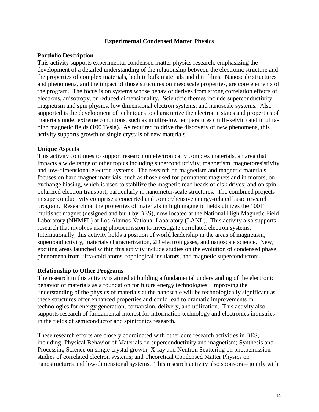#### **Experimental Condensed Matter Physics**

#### **Portfolio Description**

This activity supports experimental condensed matter physics research, emphasizing the development of a detailed understanding of the relationship between the electronic structure and the properties of complex materials, both in bulk materials and thin films. Nanoscale structures and phenomena, and the impact of those structures on mesoscale properties, are core elements of the program. The focus is on systems whose behavior derives from strong correlation effects of electrons, anisotropy, or reduced dimensionality. Scientific themes include superconductivity, magnetism and spin physics, low dimensional electron systems, and nanoscale systems. Also supported is the development of techniques to characterize the electronic states and properties of materials under extreme conditions, such as in ultra-low temperatures (milli-kelvin) and in ultrahigh magnetic fields (100 Tesla). As required to drive the discovery of new phenomena, this activity supports growth of single crystals of new materials.

#### **Unique Aspects**

This activity continues to support research on electronically complex materials, an area that impacts a wide range of other topics including superconductivity, magnetism, magnetoresistivity, and low-dimensional electron systems. The research on magnetism and magnetic materials focuses on hard magnet materials, such as those used for permanent magnets and in motors; on exchange biasing, which is used to stabilize the magnetic read heads of disk drives; and on spinpolarized electron transport, particularly in nanometer-scale structures. The combined projects in superconductivity comprise a concerted and comprehensive energy-related basic research program. Research on the properties of materials in high magnetic fields utilizes the 100T multishot magnet (designed and built by BES), now located at the National High Magnetic Field Laboratory (NHMFL) at Los Alamos National Laboratory (LANL). This activity also supports research that involves using photoemission to investigate correlated electron systems. Internationally, this activity holds a position of world leadership in the areas of magnetism, superconductivity, materials characterization, 2D electron gases, and nanoscale science. New, exciting areas launched within this activity include studies on the evolution of condensed phase phenomena from ultra-cold atoms, topological insulators, and magnetic superconductors.

#### **Relationship to Other Programs**

The research in this activity is aimed at building a fundamental understanding of the electronic behavior of materials as a foundation for future energy technologies. Improving the understanding of the physics of materials at the nanoscale will be technologically significant as these structures offer enhanced properties and could lead to dramatic improvements in technologies for energy generation, conversion, delivery, and utilization. This activity also supports research of fundamental interest for information technology and electronics industries in the fields of semiconductor and spintronics research.

These research efforts are closely coordinated with other core research activities in BES, including: Physical Behavior of Materials on superconductivity and magnetism; Synthesis and Processing Science on single crystal growth; X-ray and Neutron Scattering on photoemission studies of correlated electron systems; and Theoretical Condensed Matter Physics on nanostructures and low-dimensional systems. This research activity also sponsors – jointly with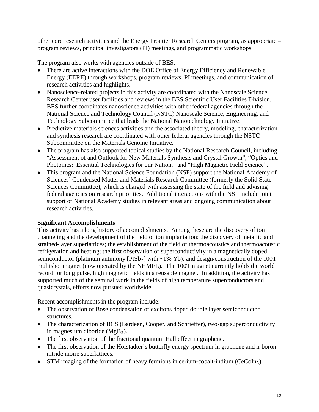other core research activities and the Energy Frontier Research Centers program, as appropriate – program reviews, principal investigators (PI) meetings, and programmatic workshops.

The program also works with agencies outside of BES.

- There are active interactions with the DOE Office of Energy Efficiency and Renewable Energy (EERE) through workshops, program reviews, PI meetings, and communication of research activities and highlights.
- Nanoscience-related projects in this activity are coordinated with the Nanoscale Science Research Center user facilities and reviews in the BES Scientific User Facilities Division. BES further coordinates nanoscience activities with other federal agencies through the National Science and Technology Council (NSTC) Nanoscale Science, Engineering, and Technology Subcommittee that leads the National Nanotechnology Initiative.
- Predictive materials sciences activities and the associated theory, modeling, characterization and synthesis research are coordinated with other federal agencies through the NSTC Subcommittee on the Materials Genome Initiative.
- The program has also supported topical studies by the National Research Council, including "Assessment of and Outlook for New Materials Synthesis and Crystal Growth", "Optics and Photonics: Essential Technologies for our Nation," and "High Magnetic Field Science".
- This program and the National Science Foundation (NSF) support the National Academy of Sciences' Condensed Matter and Materials Research Committee (formerly the Solid State Sciences Committee), which is charged with assessing the state of the field and advising federal agencies on research priorities. Additional interactions with the NSF include joint support of National Academy studies in relevant areas and ongoing communication about research activities.

#### **Significant Accomplishments**

This activity has a long history of accomplishments. Among these are the discovery of ion channeling and the development of the field of ion implantation; the discovery of metallic and strained-layer superlattices; the establishment of the field of thermoacoustics and thermoacoustic refrigeration and heating; the first observation of superconductivity in a magnetically doped semiconductor (platinum antimony  $[PtSb_2]$  with ~1% Yb); and design/construction of the 100T multishot magnet (now operated by the NHMFL). The 100T magnet currently holds the world record for long pulse, high magnetic fields in a reusable magnet. In addition, the activity has supported much of the seminal work in the fields of high temperature superconductors and quasicrystals, efforts now pursued worldwide.

Recent accomplishments in the program include:

- The observation of Bose condensation of excitons doped double layer semiconductor structures.
- The characterization of BCS (Bardeen, Cooper, and Schrieffer), two-gap superconductivity in magnesium diboride  $(MgB<sub>2</sub>)$ .
- The first observation of the fractional quantum Hall effect in graphene.
- The first observation of the Hofstadter's butterfly energy spectrum in graphene and h-boron nitride moire superlattices.
- STM imaging of the formation of heavy fermions in cerium-cobalt-indium ( $CeCoIn<sub>5</sub>$ ).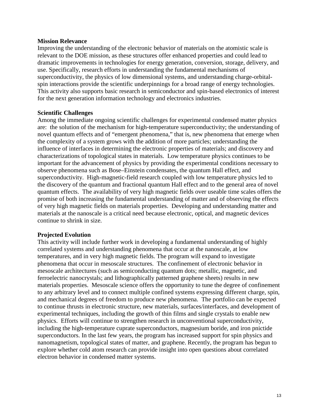#### **Mission Relevance**

Improving the understanding of the electronic behavior of materials on the atomistic scale is relevant to the DOE mission, as these structures offer enhanced properties and could lead to dramatic improvements in technologies for energy generation, conversion, storage, delivery, and use. Specifically, research efforts in understanding the fundamental mechanisms of superconductivity, the physics of low dimensional systems, and understanding charge-orbitalspin interactions provide the scientific underpinnings for a broad range of energy technologies. This activity also supports basic research in semiconductor and spin-based electronics of interest for the next generation information technology and electronics industries.

#### **Scientific Challenges**

Among the immediate ongoing scientific challenges for experimental condensed matter physics are: the solution of the mechanism for high-temperature superconductivity; the understanding of novel quantum effects and of "emergent phenomena," that is, new phenomena that emerge when the complexity of a system grows with the addition of more particles; understanding the influence of interfaces in determining the electronic properties of materials; and discovery and characterizations of topological states in materials. Low temperature physics continues to be important for the advancement of physics by providing the experimental conditions necessary to observe phenomena such as Bose–Einstein condensates, the quantum Hall effect, and superconductivity. High-magnetic-field research coupled with low temperature physics led to the discovery of the quantum and fractional quantum Hall effect and to the general area of novel quantum effects. The availability of very high magnetic fields over useable time scales offers the promise of both increasing the fundamental understanding of matter and of observing the effects of very high magnetic fields on materials properties. Developing and understanding matter and materials at the nanoscale is a critical need because electronic, optical, and magnetic devices continue to shrink in size.

#### **Projected Evolution**

This activity will include further work in developing a fundamental understanding of highly correlated systems and understanding phenomena that occur at the nanoscale, at low temperatures, and in very high magnetic fields. The program will expand to investigate phenomena that occur in mesoscale structures. The confinement of electronic behavior in mesoscale architectures (such as semiconducting quantum dots; metallic, magnetic, and ferroelectric nanocrystals; and lithographically patterned graphene sheets) results in new materials properties. Mesoscale science offers the opportunity to tune the degree of confinement to any arbitrary level and to connect multiple confined systems expressing different charge, spin, and mechanical degrees of freedom to produce new phenomena. The portfolio can be expected to continue thrusts in electronic structure, new materials, surfaces/interfaces, and development of experimental techniques, including the growth of thin films and single crystals to enable new physics. Efforts will continue to strengthen research in unconventional superconductivity, including the high-temperature cuprate superconductors, magnesium boride, and iron pnictide superconductors. In the last few years, the program has increased support for spin physics and nanomagnetism, topological states of matter, and graphene. Recently, the program has begun to explore whether cold atom research can provide insight into open questions about correlated electron behavior in condensed matter systems.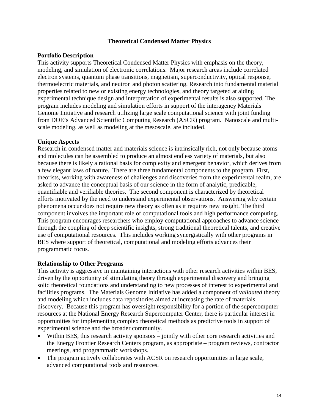#### **Theoretical Condensed Matter Physics**

#### **Portfolio Description**

This activity supports Theoretical Condensed Matter Physics with emphasis on the theory, modeling, and simulation of electronic correlations. Major research areas include correlated electron systems, quantum phase transitions, magnetism, superconductivity, optical response, thermoelectric materials, and neutron and photon scattering. Research into fundamental material properties related to new or existing energy technologies, and theory targeted at aiding experimental technique design and interpretation of experimental results is also supported. The program includes modeling and simulation efforts in support of the interagency Materials Genome Initiative and research utilizing large scale computational science with joint funding from DOE's Advanced Scientific Computing Research (ASCR) program. Nanoscale and multiscale modeling, as well as modeling at the mesoscale, are included.

#### **Unique Aspects**

Research in condensed matter and materials science is intrinsically rich, not only because atoms and molecules can be assembled to produce an almost endless variety of materials, but also because there is likely a rational basis for complexity and emergent behavior, which derives from a few elegant laws of nature. There are three fundamental components to the program. First, theorists, working with awareness of challenges and discoveries from the experimental realm, are asked to advance the conceptual basis of our science in the form of analytic, predicable, quantifiable and verifiable theories. The second component is characterized by theoretical efforts motivated by the need to understand experimental observations. Answering why certain phenomena occur does not require new theory as often as it requires new insight. The third component involves the important role of computational tools and high performance computing. This program encourages researchers who employ computational approaches to advance science through the coupling of deep scientific insights, strong traditional theoretical talents, and creative use of computational resources. This includes working synergistically with other programs in BES where support of theoretical, computational and modeling efforts advances their programmatic focus.

#### **Relationship to Other Programs**

This activity is aggressive in maintaining interactions with other research activities within BES, driven by the opportunity of stimulating theory through experimental discovery and bringing solid theoretical foundations and understanding to new processes of interest to experimental and facilities programs. The Materials Genome Initiative has added a component of *validated* theory and modeling which includes data repositories aimed at increasing the rate of materials discovery. Because this program has oversight responsibility for a portion of the supercomputer resources at the National Energy Research Supercomputer Center, there is particular interest in opportunities for implementing complex theoretical methods as predictive tools in support of experimental science and the broader community.

- Within BES, this research activity sponsors jointly with other core research activities and the Energy Frontier Research Centers program, as appropriate – program reviews, contractor meetings, and programmatic workshops.
- The program actively collaborates with ACSR on research opportunities in large scale, advanced computational tools and resources.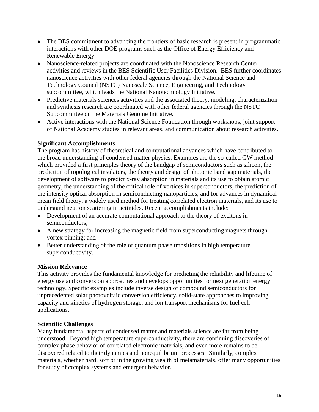- The BES commitment to advancing the frontiers of basic research is present in programmatic interactions with other DOE programs such as the Office of Energy Efficiency and Renewable Energy.
- Nanoscience-related projects are coordinated with the Nanoscience Research Center activities and reviews in the BES Scientific User Facilities Division. BES further coordinates nanoscience activities with other federal agencies through the National Science and Technology Council (NSTC) Nanoscale Science, Engineering, and Technology subcommittee, which leads the National Nanotechnology Initiative.
- Predictive materials sciences activities and the associated theory, modeling, characterization and synthesis research are coordinated with other federal agencies through the NSTC Subcommittee on the Materials Genome Initiative.
- Active interactions with the National Science Foundation through workshops, joint support of National Academy studies in relevant areas, and communication about research activities.

#### **Significant Accomplishments**

The program has history of theoretical and computational advances which have contributed to the broad understanding of condensed matter physics. Examples are the so-called GW method which provided a first principles theory of the bandgap of semiconductors such as silicon, the prediction of topological insulators, the theory and design of photonic band gap materials, the development of software to predict x-ray absorption in materials and its use to obtain atomic geometry, the understanding of the critical role of vortices in superconductors, the prediction of the intensity optical absorption in semiconducting nanoparticles, and for advances in dynamical mean field theory, a widely used method for treating correlated electron materials, and its use to understand neutron scattering in actinides. Recent accomplishments include:

- Development of an accurate computational approach to the theory of excitons in semiconductors;
- A new strategy for increasing the magnetic field from superconducting magnets through vortex pinning; and
- Better understanding of the role of quantum phase transitions in high temperature superconductivity.

#### **Mission Relevance**

This activity provides the fundamental knowledge for predicting the reliability and lifetime of energy use and conversion approaches and develops opportunities for next generation energy technology. Specific examples include inverse design of compound semiconductors for unprecedented solar photovoltaic conversion efficiency, solid-state approaches to improving capacity and kinetics of hydrogen storage, and ion transport mechanisms for fuel cell applications.

#### **Scientific Challenges**

Many fundamental aspects of condensed matter and materials science are far from being understood. Beyond high temperature superconductivity, there are continuing discoveries of complex phase behavior of correlated electronic materials, and even more remains to be discovered related to their dynamics and nonequilibrium processes. Similarly, complex materials, whether hard, soft or in the growing wealth of metamaterials, offer many opportunities for study of complex systems and emergent behavior.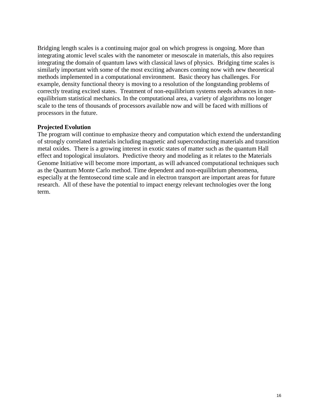Bridging length scales is a continuing major goal on which progress is ongoing. More than integrating atomic level scales with the nanometer or mesoscale in materials, this also requires integrating the domain of quantum laws with classical laws of physics. Bridging time scales is similarly important with some of the most exciting advances coming now with new theoretical methods implemented in a computational environment. Basic theory has challenges. For example, density functional theory is moving to a resolution of the longstanding problems of correctly treating excited states. Treatment of non-equilibrium systems needs advances in nonequilibrium statistical mechanics. In the computational area, a variety of algorithms no longer scale to the tens of thousands of processors available now and will be faced with millions of processors in the future.

#### **Projected Evolution**

The program will continue to emphasize theory and computation which extend the understanding of strongly correlated materials including magnetic and superconducting materials and transition metal oxides. There is a growing interest in exotic states of matter such as the quantum Hall effect and topological insulators. Predictive theory and modeling as it relates to the Materials Genome Initiative will become more important, as will advanced computational techniques such as the Quantum Monte Carlo method. Time dependent and non-equilibrium phenomena, especially at the femtosecond time scale and in electron transport are important areas for future research. All of these have the potential to impact energy relevant technologies over the long term.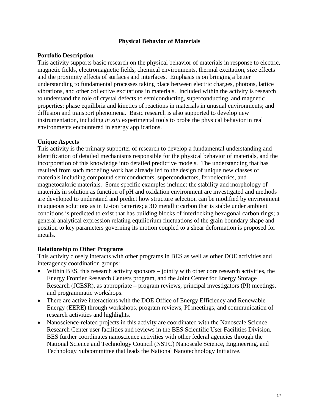#### **Physical Behavior of Materials**

#### **Portfolio Description**

This activity supports basic research on the physical behavior of materials in response to electric, magnetic fields, electromagnetic fields, chemical environments, thermal excitation, size effects and the proximity effects of surfaces and interfaces. Emphasis is on bringing a better understanding to fundamental processes taking place between electric charges, photons, lattice vibrations, and other collective excitations in materials. Included within the activity is research to understand the role of crystal defects to semiconducting, superconducting, and magnetic properties; phase equilibria and kinetics of reactions in materials in unusual environments; and diffusion and transport phenomena. Basic research is also supported to develop new instrumentation, including *in situ* experimental tools to probe the physical behavior in real environments encountered in energy applications.

#### **Unique Aspects**

This activity is the primary supporter of research to develop a fundamental understanding and identification of detailed mechanisms responsible for the physical behavior of materials, and the incorporation of this knowledge into detailed predictive models. The understanding that has resulted from such modeling work has already led to the design of unique new classes of materials including compound semiconductors, superconductors, ferroelectrics, and magnetocaloric materials. Some specific examples include: the stability and morphology of materials in solution as function of pH and oxidation environment are investigated and methods are developed to understand and predict how structure selection can be modified by environment in aqueous solutions as in Li-ion batteries; a 3D metallic carbon that is stable under ambient conditions is predicted to exist that has building blocks of interlocking hexagonal carbon rings; a general analytical expression relating equilibrium fluctuations of the grain boundary shape and position to key parameters governing its motion coupled to a shear deformation is proposed for metals.

#### **Relationship to Other Programs**

This activity closely interacts with other programs in BES as well as other DOE activities and interagency coordination groups:

- Within BES, this research activity sponsors jointly with other core research activities, the Energy Frontier Research Centers program, and the Joint Center for Energy Storage Research (JCESR), as appropriate – program reviews, principal investigators (PI) meetings, and programmatic workshops.
- There are active interactions with the DOE Office of Energy Efficiency and Renewable Energy (EERE) through workshops, program reviews, PI meetings, and communication of research activities and highlights.
- Nanoscience-related projects in this activity are coordinated with the Nanoscale Science Research Center user facilities and reviews in the BES Scientific User Facilities Division. BES further coordinates nanoscience activities with other federal agencies through the National Science and Technology Council (NSTC) Nanoscale Science, Engineering, and Technology Subcommittee that leads the National Nanotechnology Initiative.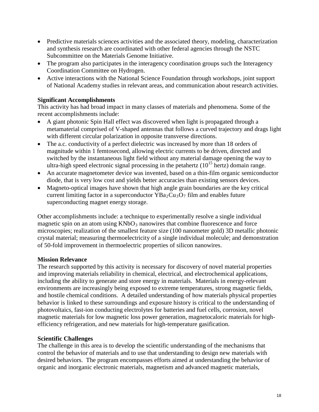- Predictive materials sciences activities and the associated theory, modeling, characterization and synthesis research are coordinated with other federal agencies through the NSTC Subcommittee on the Materials Genome Initiative.
- The program also participates in the interagency coordination groups such the Interagency Coordination Committee on Hydrogen.
- Active interactions with the National Science Foundation through workshops, joint support of National Academy studies in relevant areas, and communication about research activities.

#### **Significant Accomplishments**

This activity has had broad impact in many classes of materials and phenomena. Some of the recent accomplishments include:

- A giant photonic Spin Hall effect was discovered when light is propagated through a metamaterial comprised of V-shaped antennas that follows a curved trajectory and drags light with different circular polarization in opposite transverse directions.
- The a.c. conductivity of a perfect dielectric was increased by more than 18 orders of magnitude within 1 femtosecond, allowing electric currents to be driven, directed and switched by the instantaneous light field without any material damage opening the way to ultra-high speed electronic signal processing in the petahertz  $(10^{15}$  hertz) domain range.
- An accurate magnetometer device was invented, based on a thin-film organic semiconductor diode, that is very low cost and yields better accuracies than existing sensors devices.
- Magneto-optical images have shown that high angle grain boundaries are the key critical current limiting factor in a superconductor  $YBa_2Cu_3O_7$  film and enables future superconducting magnet energy storage.

Other accomplishments include: a technique to experimentally resolve a single individual magnetic spin on an atom using  $KNbO_3$  nanowires that combine fluorescence and force microscopies; realization of the smallest feature size (100 nanometer gold) 3D metallic photonic crystal material; measuring thermoelectricity of a single individual molecule; and demonstration of 50-fold improvement in thermoelectric properties of silicon nanowires.

#### **Mission Relevance**

The research supported by this activity is necessary for discovery of novel material properties and improving materials reliability in chemical, electrical, and electrochemical applications, including the ability to generate and store energy in materials. Materials in energy-relevant environments are increasingly being exposed to extreme temperatures, strong magnetic fields, and hostile chemical conditions. A detailed understanding of how materials physical properties behavior is linked to these surroundings and exposure history is critical to the understanding of photovoltaics, fast-ion conducting electrolytes for batteries and fuel cells, corrosion, novel magnetic materials for low magnetic loss power generation, magnetocaloric materials for highefficiency refrigeration, and new materials for high-temperature gasification.

#### **Scientific Challenges**

The challenge in this area is to develop the scientific understanding of the mechanisms that control the behavior of materials and to use that understanding to design new materials with desired behaviors. The program encompasses efforts aimed at understanding the behavior of organic and inorganic electronic materials, magnetism and advanced magnetic materials,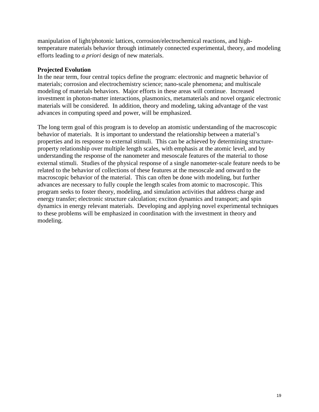manipulation of light/photonic lattices, corrosion/electrochemical reactions, and hightemperature materials behavior through intimately connected experimental, theory, and modeling efforts leading to *a priori* design of new materials.

#### **Projected Evolution**

In the near term, four central topics define the program: electronic and magnetic behavior of materials; corrosion and electrochemistry science; nano-scale phenomena; and multiscale modeling of materials behaviors. Major efforts in these areas will continue. Increased investment in photon-matter interactions, plasmonics, metamaterials and novel organic electronic materials will be considered. In addition, theory and modeling, taking advantage of the vast advances in computing speed and power, will be emphasized.

The long term goal of this program is to develop an atomistic understanding of the macroscopic behavior of materials. It is important to understand the relationship between a material's properties and its response to external stimuli. This can be achieved by determining structureproperty relationship over multiple length scales, with emphasis at the atomic level, and by understanding the response of the nanometer and mesoscale features of the material to those external stimuli. Studies of the physical response of a single nanometer-scale feature needs to be related to the behavior of collections of these features at the mesoscale and onward to the macroscopic behavior of the material. This can often be done with modeling, but further advances are necessary to fully couple the length scales from atomic to macroscopic. This program seeks to foster theory, modeling, and simulation activities that address charge and energy transfer; electronic structure calculation; exciton dynamics and transport; and spin dynamics in energy relevant materials. Developing and applying novel experimental techniques to these problems will be emphasized in coordination with the investment in theory and modeling.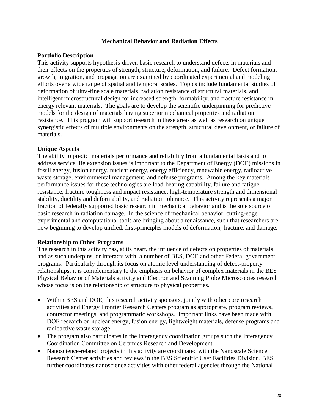#### **Mechanical Behavior and Radiation Effects**

#### **Portfolio Description**

This activity supports hypothesis-driven basic research to understand defects in materials and their effects on the properties of strength, structure, deformation, and failure. Defect formation, growth, migration, and propagation are examined by coordinated experimental and modeling efforts over a wide range of spatial and temporal scales. Topics include fundamental studies of deformation of ultra-fine scale materials, radiation resistance of structural materials, and intelligent microstructural design for increased strength, formability, and fracture resistance in energy relevant materials. The goals are to develop the scientific underpinning for predictive models for the design of materials having superior mechanical properties and radiation resistance. This program will support research in these areas as well as research on unique synergistic effects of multiple environments on the strength, structural development, or failure of materials.

#### **Unique Aspects**

The ability to predict materials performance and reliability from a fundamental basis and to address service life extension issues is important to the Department of Energy (DOE) missions in fossil energy, fusion energy, nuclear energy, energy efficiency, renewable energy, radioactive waste storage, environmental management, and defense programs. Among the key materials performance issues for these technologies are load-bearing capability, failure and fatigue resistance, fracture toughness and impact resistance, high-temperature strength and dimensional stability, ductility and deformability, and radiation tolerance. This activity represents a major fraction of federally supported basic research in mechanical behavior and is the sole source of basic research in radiation damage. In the science of mechanical behavior, cutting-edge experimental and computational tools are bringing about a renaissance, such that researchers are now beginning to develop unified, first-principles models of deformation, fracture, and damage.

#### **Relationship to Other Programs**

The research in this activity has, at its heart, the influence of defects on properties of materials and as such underpins, or interacts with, a number of BES, DOE and other Federal government programs. Particularly through its focus on atomic level understanding of defect-property relationships, it is complementary to the emphasis on behavior of complex materials in the BES Physical Behavior of Materials activity and Electron and Scanning Probe Microscopies research whose focus is on the relationship of structure to physical properties.

- Within BES and DOE, this research activity sponsors, jointly with other core research activities and Energy Frontier Research Centers program as appropriate, program reviews, contractor meetings, and programmatic workshops. Important links have been made with DOE research on nuclear energy, fusion energy, lightweight materials, defense programs and radioactive waste storage.
- The program also participates in the interagency coordination groups such the Interagency Coordination Committee on Ceramics Research and Development.
- Nanoscience-related projects in this activity are coordinated with the Nanoscale Science Research Center activities and reviews in the BES Scientific User Facilities Division. BES further coordinates nanoscience activities with other federal agencies through the National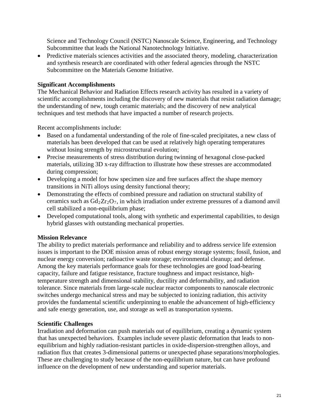Science and Technology Council (NSTC) Nanoscale Science, Engineering, and Technology Subcommittee that leads the National Nanotechnology Initiative.

• Predictive materials sciences activities and the associated theory, modeling, characterization and synthesis research are coordinated with other federal agencies through the NSTC Subcommittee on the Materials Genome Initiative.

#### **Significant Accomplishments**

The Mechanical Behavior and Radiation Effects research activity has resulted in a variety of scientific accomplishments including the discovery of new materials that resist radiation damage; the understanding of new, tough ceramic materials; and the discovery of new analytical techniques and test methods that have impacted a number of research projects.

Recent accomplishments include:

- Based on a fundamental understanding of the role of fine-scaled precipitates, a new class of materials has been developed that can be used at relatively high operating temperatures without losing strength by microstructural evolution;
- Precise measurements of stress distribution during twinning of hexagonal close-packed materials, utilizing 3D x-ray diffraction to illustrate how these stresses are accommodated during compression;
- Developing a model for how specimen size and free surfaces affect the shape memory transitions in NiTi alloys using density functional theory;
- Demonstrating the effects of combined pressure and radiation on structural stability of ceramics such as  $Gd_2Zr_2O_7$ , in which irradiation under extreme pressures of a diamond anvil cell stabilized a non-equilibrium phase;
- Developed computational tools, along with synthetic and experimental capabilities, to design hybrid glasses with outstanding mechanical properties.

#### **Mission Relevance**

The ability to predict materials performance and reliability and to address service life extension issues is important to the DOE mission areas of robust energy storage systems; fossil, fusion, and nuclear energy conversion; radioactive waste storage; environmental cleanup; and defense. Among the key materials performance goals for these technologies are good load-bearing capacity, failure and fatigue resistance, fracture toughness and impact resistance, hightemperature strength and dimensional stability, ductility and deformability, and radiation tolerance. Since materials from large-scale nuclear reactor components to nanoscale electronic switches undergo mechanical stress and may be subjected to ionizing radiation, this activity provides the fundamental scientific underpinning to enable the advancement of high-efficiency and safe energy generation, use, and storage as well as transportation systems.

#### **Scientific Challenges**

Irradiation and deformation can push materials out of equilibrium, creating a dynamic system that has unexpected behaviors. Examples include severe plastic deformation that leads to nonequilibrium and highly radiation-resistant particles in oxide-dispersion-strengthen alloys, and radiation flux that creates 3-dimensional patterns or unexpected phase separations/morphologies. These are challenging to study because of the non-equilibrium nature, but can have profound influence on the development of new understanding and superior materials.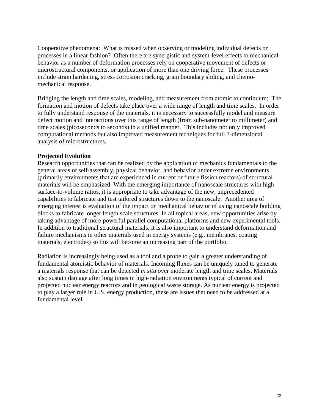Cooperative phenomena: What is missed when observing or modeling individual defects or processes in a linear fashion? Often there are synergistic and system-level effects to mechanical behavior as a number of deformation processes rely on cooperative movement of defects or microstructural components, or application of more than one driving force. These processes include strain hardening, stress corrosion cracking, grain boundary sliding, and chemomechanical response.

Bridging the length and time scales, modeling, and measurement from atomic to continuum: The formation and motion of defects take place over a wide range of length and time scales. In order to fully understand response of the materials, it is necessary to successfully model and measure defect motion and interactions over this range of length (from sub-nanometer to millimeter) and time scales (picoseconds to seconds) in a unified manner. This includes not only improved computational methods but also improved measurement techniques for full 3-dimensional analysis of microstructures.

#### **Projected Evolution**

Research opportunities that can be realized by the application of mechanics fundamentals to the general areas of self-assembly, physical behavior, and behavior under extreme environments (primarily environments that are experienced in current or future fission reactors) of structural materials will be emphasized. With the emerging importance of nanoscale structures with high surface-to-volume ratios, it is appropriate to take advantage of the new, unprecedented capabilities to fabricate and test tailored structures down to the nanoscale. Another area of emerging interest is evaluation of the impact on mechanical behavior of using nanoscale building blocks to fabricate longer length scale structures. In all topical areas, new opportunities arise by taking advantage of more powerful parallel computational platforms and new experimental tools. In addition to traditional structural materials, it is also important to understand deformation and failure mechanisms in other materials used in energy systems (e.g., membranes, coating materials, electrodes) so this will become an increasing part of the portfolio.

Radiation is increasingly being used as a tool and a probe to gain a greater understanding of fundamental atomistic behavior of materials. Incoming fluxes can be uniquely tuned to generate a materials response that can be detected *in situ* over moderate length and time scales. Materials also sustain damage after long times in high-radiation environments typical of current and projected nuclear energy reactors and in geological waste storage. As nuclear energy is projected to play a larger role in U.S. energy production, these are issues that need to be addressed at a fundamental level.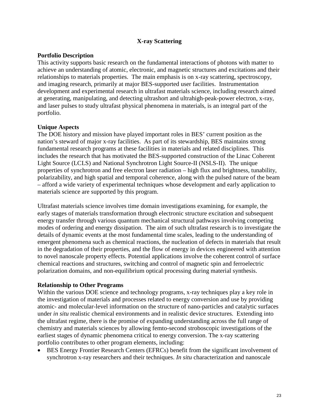#### **X-ray Scattering**

#### **Portfolio Description**

This activity supports basic research on the fundamental interactions of photons with matter to achieve an understanding of atomic, electronic, and magnetic structures and excitations and their relationships to materials properties. The main emphasis is on x-ray scattering, spectroscopy, and imaging research, primarily at major BES-supported user facilities. Instrumentation development and experimental research in ultrafast materials science, including research aimed at generating, manipulating, and detecting ultrashort and ultrahigh-peak-power electron, x-ray, and laser pulses to study ultrafast physical phenomena in materials, is an integral part of the portfolio.

#### **Unique Aspects**

The DOE history and mission have played important roles in BES' current position as the nation's steward of major x-ray facilities. As part of its stewardship, BES maintains strong fundamental research programs at these facilities in materials and related disciplines. This includes the research that has motivated the BES-supported construction of the Linac Coherent Light Source (LCLS) and National Synchrotron Light Source-II (NSLS-II). The unique properties of synchrotron and free electron laser radiation – high flux and brightness, tunability, polarizability, and high spatial and temporal coherence, along with the pulsed nature of the beam – afford a wide variety of experimental techniques whose development and early application to materials science are supported by this program.

Ultrafast materials science involves time domain investigations examining, for example, the early stages of materials transformation through electronic structure excitation and subsequent energy transfer through various quantum mechanical structural pathways involving competing modes of ordering and energy dissipation. The aim of such ultrafast research is to investigate the details of dynamic events at the most fundamental time scales, leading to the understanding of emergent phenomena such as chemical reactions, the nucleation of defects in materials that result in the degradation of their properties, and the flow of energy in devices engineered with attention to novel nanoscale property effects. Potential applications involve the coherent control of surface chemical reactions and structures, switching and control of magnetic spin and ferroelectric polarization domains, and non-equilibrium optical processing during material synthesis.

#### **Relationship to Other Programs**

Within the various DOE science and technology programs, x-ray techniques play a key role in the investigation of materials and processes related to energy conversion and use by providing atomic- and molecular-level information on the structure of nano-particles and catalytic surfaces under *in situ* realistic chemical environments and in realistic device structures. Extending into the ultrafast regime, there is the promise of expanding understanding across the full range of chemistry and materials sciences by allowing femto-second stroboscopic investigations of the earliest stages of dynamic phenomena critical to energy conversion. The x-ray scattering portfolio contributes to other program elements, including:

• BES Energy Frontier Research Centers (EFRCs) benefit from the significant involvement of synchrotron x-ray researchers and their techniques. *In situ* characterization and nanoscale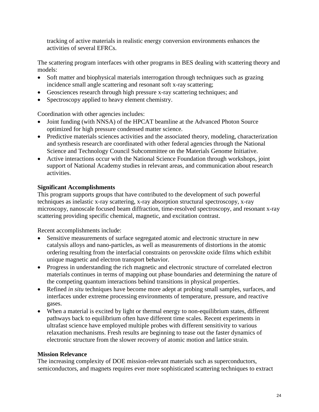tracking of active materials in realistic energy conversion environments enhances the activities of several EFRCs.

The scattering program interfaces with other programs in BES dealing with scattering theory and models:

- Soft matter and biophysical materials interrogation through techniques such as grazing incidence small angle scattering and resonant soft x-ray scattering;
- Geosciences research through high pressure x-ray scattering techniques; and
- Spectroscopy applied to heavy element chemistry.

Coordination with other agencies includes:

- Joint funding (with NNSA) of the HPCAT beamline at the Advanced Photon Source optimized for high pressure condensed matter science.
- Predictive materials sciences activities and the associated theory, modeling, characterization and synthesis research are coordinated with other federal agencies through the National Science and Technology Council Subcommittee on the Materials Genome Initiative.
- Active interactions occur with the National Science Foundation through workshops, joint support of National Academy studies in relevant areas, and communication about research activities.

#### **Significant Accomplishments**

This program supports groups that have contributed to the development of such powerful techniques as inelastic x-ray scattering, x-ray absorption structural spectroscopy, x-ray microscopy, nanoscale focused beam diffraction, time-resolved spectroscopy, and resonant x-ray scattering providing specific chemical, magnetic, and excitation contrast.

Recent accomplishments include:

- Sensitive measurements of surface segregated atomic and electronic structure in new catalysis alloys and nano-particles, as well as measurements of distortions in the atomic ordering resulting from the interfacial constraints on perovskite oxide films which exhibit unique magnetic and electron transport behavior.
- Progress in understanding the rich magnetic and electronic structure of correlated electron materials continues in terms of mapping out phase boundaries and determining the nature of the competing quantum interactions behind transitions in physical properties.
- Refined *in situ* techniques have become more adept at probing small samples, surfaces, and interfaces under extreme processing environments of temperature, pressure, and reactive gases.
- When a material is excited by light or thermal energy to non-equilibrium states, different pathways back to equilibrium often have different time scales. Recent experiments in ultrafast science have employed multiple probes with different sensitivity to various relaxation mechanisms. Fresh results are beginning to tease out the faster dynamics of electronic structure from the slower recovery of atomic motion and lattice strain.

#### **Mission Relevance**

The increasing complexity of DOE mission-relevant materials such as superconductors, semiconductors, and magnets requires ever more sophisticated scattering techniques to extract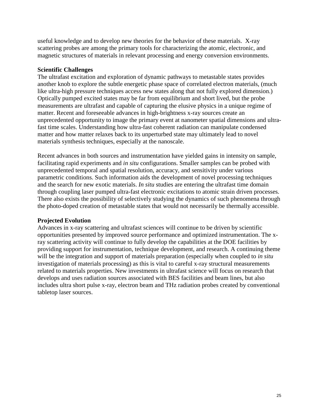useful knowledge and to develop new theories for the behavior of these materials. X-ray scattering probes are among the primary tools for characterizing the atomic, electronic, and magnetic structures of materials in relevant processing and energy conversion environments.

#### **Scientific Challenges**

The ultrafast excitation and exploration of dynamic pathways to metastable states provides another knob to explore the subtle energetic phase space of correlated electron materials, (much like ultra-high pressure techniques access new states along that not fully explored dimension.) Optically pumped excited states may be far from equilibrium and short lived, but the probe measurements are ultrafast and capable of capturing the elusive physics in a unique regime of matter. Recent and foreseeable advances in high-brightness x-ray sources create an unprecedented opportunity to image the primary event at nanometer spatial dimensions and ultrafast time scales. Understanding how ultra-fast coherent radiation can manipulate condensed matter and how matter relaxes back to its unperturbed state may ultimately lead to novel materials synthesis techniques, especially at the nanoscale.

Recent advances in both sources and instrumentation have yielded gains in intensity on sample, facilitating rapid experiments and *in situ* configurations. Smaller samples can be probed with unprecedented temporal and spatial resolution, accuracy, and sensitivity under various parametric conditions. Such information aids the development of novel processing techniques and the search for new exotic materials. *In situ* studies are entering the ultrafast time domain through coupling laser pumped ultra-fast electronic excitations to atomic strain driven processes. There also exists the possibility of selectively studying the dynamics of such phenomena through the photo-doped creation of metastable states that would not necessarily be thermally accessible.

#### **Projected Evolution**

Advances in x-ray scattering and ultrafast sciences will continue to be driven by scientific opportunities presented by improved source performance and optimized instrumentation. The xray scattering activity will continue to fully develop the capabilities at the DOE facilities by providing support for instrumentation, technique development, and research. A continuing theme will be the integration and support of materials preparation (especially when coupled to *in situ* investigation of materials processing) as this is vital to careful x-ray structural measurements related to materials properties. New investments in ultrafast science will focus on research that develops and uses radiation sources associated with BES facilities and beam lines, but also includes ultra short pulse x-ray, electron beam and THz radiation probes created by conventional tabletop laser sources.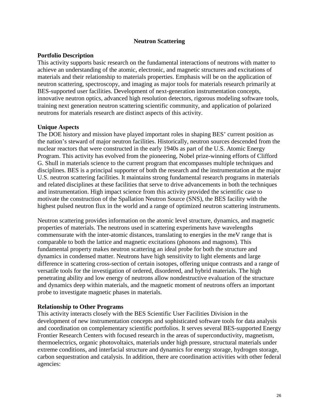#### **Neutron Scattering**

#### **Portfolio Description**

This activity supports basic research on the fundamental interactions of neutrons with matter to achieve an understanding of the atomic, electronic, and magnetic structures and excitations of materials and their relationship to materials properties. Emphasis will be on the application of neutron scattering, spectroscopy, and imaging as major tools for materials research primarily at BES-supported user facilities. Development of next-generation instrumentation concepts, innovative neutron optics, advanced high resolution detectors, rigorous modeling software tools, training next generation neutron scattering scientific community, and application of polarized neutrons for materials research are distinct aspects of this activity.

#### **Unique Aspects**

The DOE history and mission have played important roles in shaping BES' current position as the nation's steward of major neutron facilities. Historically, neutron sources descended from the nuclear reactors that were constructed in the early 1940s as part of the U.S. Atomic Energy Program. This activity has evolved from the pioneering, Nobel prize-winning efforts of Clifford G. Shull in materials science to the current program that encompasses multiple techniques and disciplines. BES is a principal supporter of both the research and the instrumentation at the major U.S. neutron scattering facilities. It maintains strong fundamental research programs in materials and related disciplines at these facilities that serve to drive advancements in both the techniques and instrumentation. High impact science from this activity provided the scientific case to motivate the construction of the Spallation Neutron Source (SNS), the BES facility with the highest pulsed neutron flux in the world and a range of optimized neutron scattering instruments.

Neutron scattering provides information on the atomic level structure, dynamics, and magnetic properties of materials. The neutrons used in scattering experiments have wavelengths commensurate with the inter-atomic distances, translating to energies in the meV range that is comparable to both the lattice and magnetic excitations (phonons and magnons). This fundamental property makes neutron scattering an ideal probe for both the structure and dynamics in condensed matter. Neutrons have high sensitivity to light elements and large difference in scattering cross-section of certain isotopes, offering unique contrasts and a range of versatile tools for the investigation of ordered, disordered, and hybrid materials. The high penetrating ability and low energy of neutrons allow nondestructive evaluation of the structure and dynamics deep within materials, and the magnetic moment of neutrons offers an important probe to investigate magnetic phases in materials.

#### **Relationship to Other Programs**

This activity interacts closely with the BES Scientific User Facilities Division in the development of new instrumentation concepts and sophisticated software tools for data analysis and coordination on complementary scientific portfolios. It serves several BES-supported Energy Frontier Research Centers with focused research in the areas of superconductivity, magnetism, thermoelectrics, organic photovoltaics, materials under high pressure, structural materials under extreme conditions, and interfacial structure and dynamics for energy storage, hydrogen storage, carbon sequestration and catalysis. In addition, there are coordination activities with other federal agencies: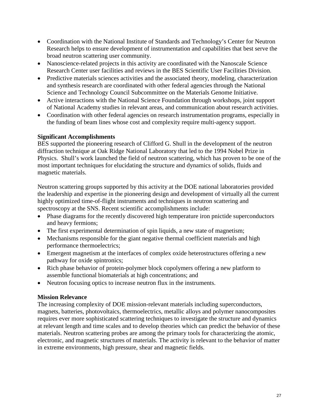- Coordination with the National Institute of Standards and Technology's Center for Neutron Research helps to ensure development of instrumentation and capabilities that best serve the broad neutron scattering user community.
- Nanoscience-related projects in this activity are coordinated with the Nanoscale Science Research Center user facilities and reviews in the BES Scientific User Facilities Division.
- Predictive materials sciences activities and the associated theory, modeling, characterization and synthesis research are coordinated with other federal agencies through the National Science and Technology Council Subcommittee on the Materials Genome Initiative.
- Active interactions with the National Science Foundation through workshops, joint support of National Academy studies in relevant areas, and communication about research activities.
- Coordination with other federal agencies on research instrumentation programs, especially in the funding of beam lines whose cost and complexity require multi-agency support.

#### **Significant Accomplishments**

BES supported the pioneering research of Clifford G. Shull in the development of the neutron diffraction technique at Oak Ridge National Laboratory that led to the 1994 Nobel Prize in Physics. Shull's work launched the field of neutron scattering, which has proven to be one of the most important techniques for elucidating the structure and dynamics of solids, fluids and magnetic materials.

Neutron scattering groups supported by this activity at the DOE national laboratories provided the leadership and expertise in the pioneering design and development of virtually all the current highly optimized time-of-flight instruments and techniques in neutron scattering and spectroscopy at the SNS. Recent scientific accomplishments include:

- Phase diagrams for the recently discovered high temperature iron pnictide superconductors and heavy fermions;
- The first experimental determination of spin liquids, a new state of magnetism;
- Mechanisms responsible for the giant negative thermal coefficient materials and high performance thermoelectrics;
- Emergent magnetism at the interfaces of complex oxide heterostructures offering a new pathway for oxide spintronics;
- Rich phase behavior of protein-polymer block copolymers offering a new platform to assemble functional biomaterials at high concentrations; and
- Neutron focusing optics to increase neutron flux in the instruments.

#### **Mission Relevance**

The increasing complexity of DOE mission-relevant materials including superconductors, magnets, batteries, photovoltaics, thermoelectrics, metallic alloys and polymer nanocomposites requires ever more sophisticated scattering techniques to investigate the structure and dynamics at relevant length and time scales and to develop theories which can predict the behavior of these materials. Neutron scattering probes are among the primary tools for characterizing the atomic, electronic, and magnetic structures of materials. The activity is relevant to the behavior of matter in extreme environments, high pressure, shear and magnetic fields.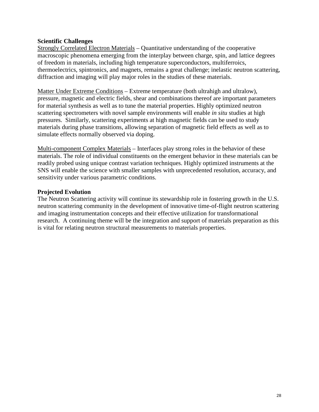#### **Scientific Challenges**

Strongly Correlated Electron Materials – Quantitative understanding of the cooperative macroscopic phenomena emerging from the interplay between charge, spin, and lattice degrees of freedom in materials, including high temperature superconductors, multiferroics, thermoelectrics, spintronics, and magnets, remains a great challenge; inelastic neutron scattering, diffraction and imaging will play major roles in the studies of these materials.

Matter Under Extreme Conditions – Extreme temperature (both ultrahigh and ultralow), pressure, magnetic and electric fields, shear and combinations thereof are important parameters for material synthesis as well as to tune the material properties. Highly optimized neutron scattering spectrometers with novel sample environments will enable *in situ* studies at high pressures. Similarly, scattering experiments at high magnetic fields can be used to study materials during phase transitions, allowing separation of magnetic field effects as well as to simulate effects normally observed via doping.

Multi-component Complex Materials – Interfaces play strong roles in the behavior of these materials. The role of individual constituents on the emergent behavior in these materials can be readily probed using unique contrast variation techniques. Highly optimized instruments at the SNS will enable the science with smaller samples with unprecedented resolution, accuracy, and sensitivity under various parametric conditions.

#### **Projected Evolution**

The Neutron Scattering activity will continue its stewardship role in fostering growth in the U.S. neutron scattering community in the development of innovative time-of-flight neutron scattering and imaging instrumentation concepts and their effective utilization for transformational research. A continuing theme will be the integration and support of materials preparation as this is vital for relating neutron structural measurements to materials properties.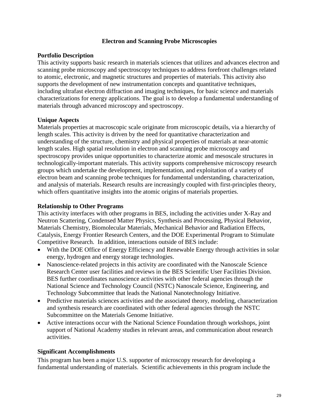#### **Electron and Scanning Probe Microscopies**

#### **Portfolio Description**

This activity supports basic research in materials sciences that utilizes and advances electron and scanning probe microscopy and spectroscopy techniques to address forefront challenges related to atomic, electronic, and magnetic structures and properties of materials. This activity also supports the development of new instrumentation concepts and quantitative techniques, including ultrafast electron diffraction and imaging techniques, for basic science and materials characterizations for energy applications. The goal is to develop a fundamental understanding of materials through advanced microscopy and spectroscopy.

#### **Unique Aspects**

Materials properties at macroscopic scale originate from microscopic details, via a hierarchy of length scales. This activity is driven by the need for quantitative characterization and understanding of the structure, chemistry and physical properties of materials at near-atomic length scales. High spatial resolution in electron and scanning probe microscopy and spectroscopy provides unique opportunities to characterize atomic and mesoscale structures in technologically-important materials. This activity supports comprehensive microscopy research groups which undertake the development, implementation, and exploitation of a variety of electron beam and scanning probe techniques for fundamental understanding, characterization, and analysis of materials. Research results are increasingly coupled with first-principles theory, which offers quantitative insights into the atomic origins of materials properties.

#### **Relationship to Other Programs**

This activity interfaces with other programs in BES, including the activities under X-Ray and Neutron Scattering, Condensed Matter Physics, Synthesis and Processing, Physical Behavior, Materials Chemistry, Biomolecular Materials, Mechanical Behavior and Radiation Effects, Catalysis, Energy Frontier Research Centers, and the DOE Experimental Program to Stimulate Competitive Research. In addition, interactions outside of BES include:

- With the DOE Office of Energy Efficiency and Renewable Energy through activities in solar energy, hydrogen and energy storage technologies.
- Nanoscience-related projects in this activity are coordinated with the Nanoscale Science Research Center user facilities and reviews in the BES Scientific User Facilities Division. BES further coordinates nanoscience activities with other federal agencies through the National Science and Technology Council (NSTC) Nanoscale Science, Engineering, and Technology Subcommittee that leads the National Nanotechnology Initiative.
- Predictive materials sciences activities and the associated theory, modeling, characterization and synthesis research are coordinated with other federal agencies through the NSTC Subcommittee on the Materials Genome Initiative.
- Active interactions occur with the National Science Foundation through workshops, joint support of National Academy studies in relevant areas, and communication about research activities.

#### **Significant Accomplishments**

This program has been a major U.S. supporter of microscopy research for developing a fundamental understanding of materials. Scientific achievements in this program include the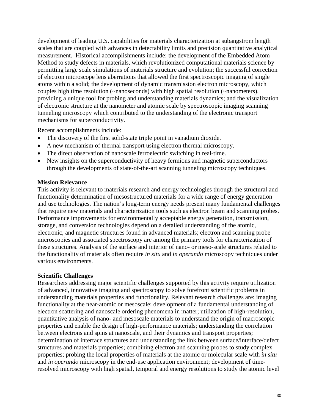development of leading U.S. capabilities for materials characterization at subangstrom length scales that are coupled with advances in detectability limits and precision quantitative analytical measurement. Historical accomplishments include: the development of the Embedded Atom Method to study defects in materials, which revolutionized computational materials science by permitting large scale simulations of materials structure and evolution; the successful correction of electron microscope lens aberrations that allowed the first spectroscopic imaging of single atoms within a solid; the development of dynamic transmission electron microscopy, which couples high time resolution (~nanoseconds) with high spatial resolution (~nanometers), providing a unique tool for probing and understanding materials dynamics; and the visualization of electronic structure at the nanometer and atomic scale by spectroscopic imaging scanning tunneling microscopy which contributed to the understanding of the electronic transport mechanisms for superconductivity.

Recent accomplishments include:

- The discovery of the first solid-state triple point in vanadium dioxide.
- A new mechanism of thermal transport using electron thermal microscopy.
- The direct observation of nanoscale ferroelectric switching in real-time.
- New insights on the superconductivity of heavy fermions and magnetic superconductors through the developments of state-of-the-art scanning tunneling microscopy techniques.

#### **Mission Relevance**

This activity is relevant to materials research and energy technologies through the structural and functionality determination of mesostructured materials for a wide range of energy generation and use technologies. The nation's long-term energy needs present many fundamental challenges that require new materials and characterization tools such as electron beam and scanning probes. Performance improvements for environmentally acceptable energy generation, transmission, storage, and conversion technologies depend on a detailed understanding of the atomic, electronic, and magnetic structures found in advanced materials; electron and scanning probe microscopies and associated spectroscopy are among the primary tools for characterization of these structures. Analysis of the surface and interior of nano- or meso-scale structures related to the functionality of materials often require *in situ* and *in operando* microscopy techniques under various environments.

#### **Scientific Challenges**

Researchers addressing major scientific challenges supported by this activity require utilization of advanced, innovative imaging and spectroscopy to solve forefront scientific problems in understanding materials properties and functionality. Relevant research challenges are: imaging functionality at the near-atomic or mesoscale; development of a fundamental understanding of electron scattering and nanoscale ordering phenomena in matter; utilization of high-resolution, quantitative analysis of nano- and mesoscale materials to understand the origin of macroscopic properties and enable the design of high-performance materials; understanding the correlation between electrons and spins at nanoscale, and their dynamics and transport properties; determination of interface structures and understanding the link between surface/interface/defect structures and materials properties; combining electron and scanning probes to study complex properties; probing the local properties of materials at the atomic or molecular scale with *in situ* and *in operando* microscopy in the end-use application environment; development of timeresolved microscopy with high spatial, temporal and energy resolutions to study the atomic level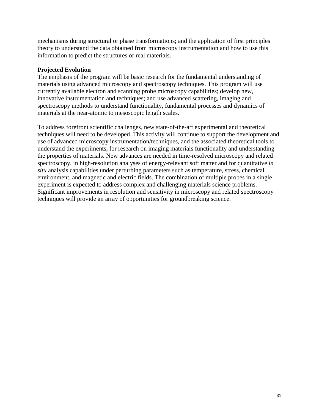mechanisms during structural or phase transformations; and the application of first principles theory to understand the data obtained from microscopy instrumentation and how to use this information to predict the structures of real materials.

#### **Projected Evolution**

The emphasis of the program will be basic research for the fundamental understanding of materials using advanced microscopy and spectroscopy techniques. This program will use currently available electron and scanning probe microscopy capabilities; develop new, innovative instrumentation and techniques; and use advanced scattering, imaging and spectroscopy methods to understand functionality, fundamental processes and dynamics of materials at the near-atomic to mesoscopic length scales.

To address forefront scientific challenges, new state-of-the-art experimental and theoretical techniques will need to be developed. This activity will continue to support the development and use of advanced microscopy instrumentation/techniques, and the associated theoretical tools to understand the experiments, for research on imaging materials functionality and understanding the properties of materials. New advances are needed in time-resolved microscopy and related spectroscopy, in high-resolution analyses of energy-relevant soft matter and for quantitative *in situ* analysis capabilities under perturbing parameters such as temperature, stress, chemical environment, and magnetic and electric fields. The combination of multiple probes in a single experiment is expected to address complex and challenging materials science problems. Significant improvements in resolution and sensitivity in microscopy and related spectroscopy techniques will provide an array of opportunities for groundbreaking science.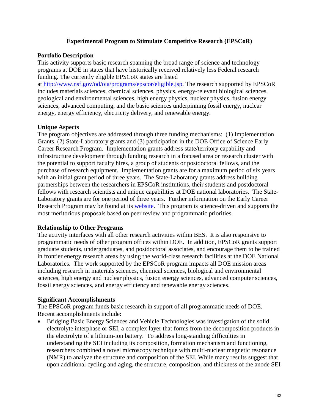#### **Experimental Program to Stimulate Competitive Research (EPSCoR)**

#### **Portfolio Description**

This activity supports basic research spanning the broad range of science and technology programs at DOE in states that have historically received relatively less Federal research funding. The currently eligible EPSCoR states are listed

at [http://www.nsf.gov/od/oia/programs/epscor/eligible.jsp.](http://www.nsf.gov/od/oia/programs/epscor/eligible.jsp) The research supported by EPSCoR includes materials sciences, chemical sciences, physics, energy-relevant biological sciences, geological and environmental sciences, high energy physics, nuclear physics, fusion energy sciences, advanced computing, and the basic sciences underpinning fossil energy, nuclear energy, energy efficiency, electricity delivery, and renewable energy.

#### **Unique Aspects**

The program objectives are addressed through three funding mechanisms: (1) Implementation Grants, (2) State-Laboratory grants and (3) participation in the DOE Office of Science Early Career Research Program. Implementation grants address state/territory capability and infrastructure development through funding research in a focused area or research cluster with the potential to support faculty hires, a group of students or postdoctoral fellows, and the purchase of research equipment.Implementation grants are for a maximum period of six years with an initial grant period of three years. The State-Laboratory grants address building partnerships between the researchers in EPSCoR institutions, their students and postdoctoral fellows with research scientists and unique capabilities at DOE national laboratories. The State-Laboratory grants are for one period of three years. Further information on the Early Career Research Program may be found at its [website.](http://science.energy.gov/early-career/) This program is science-driven and supports the most meritorious proposals based on peer review and programmatic priorities.

#### **Relationship to Other Programs**

The activity interfaces with all other research activities within BES. It is also responsive to programmatic needs of other program offices within DOE. In addition, EPSCoR grants support graduate students, undergraduates, and postdoctoral associates, and encourage them to be trained in frontier energy research areas by using the world-class research facilities at the DOE National Laboratories. The work supported by the EPSCoR program impacts all DOE mission areas including research in materials sciences, chemical sciences, biological and environmental sciences, high energy and nuclear physics, fusion energy sciences, advanced computer sciences, fossil energy sciences, and energy efficiency and renewable energy sciences.

#### **Significant Accomplishments**

The EPSCoR program funds basic research in support of all programmatic needs of DOE. Recent accomplishments include:

• Bridging Basic Energy Sciences and Vehicle Technologies was investigation of the solid electrolyte interphase or SEI, a complex layer that forms from the decomposition products in the electrolyte of a lithium-ion battery. To address long-standing difficulties in understanding the SEI including its composition, formation mechanism and functioning, researchers combined a novel microscopy technique with multi-nuclear magnetic resonance (NMR) to analyze the structure and composition of the SEI. While many results suggest that upon additional cycling and aging, the structure, composition, and thickness of the anode SEI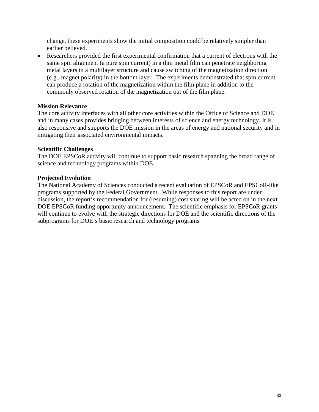change, these experiments show the initial composition could be relatively simpler than earlier believed.

• Researchers provided the first experimental confirmation that a current of electrons with the same spin alignment (a pure spin current) in a thin metal film can penetrate neighboring metal layers in a multilayer structure and cause switching of the magnetization direction (e.g., magnet polarity) in the bottom layer. The experiments demonstrated that spin current can produce a rotation of the magnetization within the film plane in addition to the commonly observed rotation of the magnetization out of the film plane.

#### **Mission Relevance**

The core activity interfaces with all other core activities within the Office of Science and DOE and in many cases provides bridging between interests of science and energy technology. It is also responsive and supports the DOE mission in the areas of energy and national security and in mitigating their associated environmental impacts.

#### **Scientific Challenges**

The DOE EPSCoR activity will continue to support basic research spanning the broad range of science and technology programs within DOE.

#### **Projected Evolution**

The National Academy of Sciences conducted a recent evaluation of EPSCoR and EPSCoR-like programs supported by the Federal Government. While responses to this report are under discussion, the report's recommendation for (resuming) cost sharing will be acted on in the next DOE EPSCoR funding opportunity announcement. The scientific emphasis for EPSCoR grants will continue to evolve with the strategic directions for DOE and the scientific directions of the subprograms for DOE's basic research and technology programs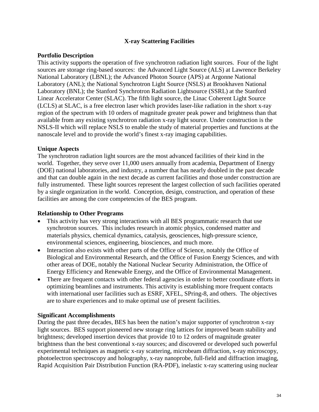#### **X-ray Scattering Facilities**

#### **Portfolio Description**

This activity supports the operation of five synchrotron radiation light sources. Four of the light sources are storage ring-based sources: the Advanced Light Source (ALS) at Lawrence Berkeley National Laboratory (LBNL); the Advanced Photon Source (APS) at Argonne National Laboratory (ANL); the National Synchrotron Light Source (NSLS) at Brookhaven National Laboratory (BNL); the Stanford Synchrotron Radiation Lightsource (SSRL) at the Stanford Linear Accelerator Center (SLAC). The fifth light source, the Linac Coherent Light Source (LCLS) at SLAC, is a free electron laser which provides laser-like radiation in the short x-ray region of the spectrum with 10 orders of magnitude greater peak power and brightness than that available from any existing synchrotron radiation x-ray light source. Under construction is the NSLS-II which will replace NSLS to enable the study of material properties and functions at the nanoscale level and to provide the world's finest x-ray imaging capabilities.

#### **Unique Aspects**

The synchrotron radiation light sources are the most advanced facilities of their kind in the world. Together, they serve over 11,000 users annually from academia, Department of Energy (DOE) national laboratories, and industry, a number that has nearly doubled in the past decade and that can double again in the next decade as current facilities and those under construction are fully instrumented. These light sources represent the largest collection of such facilities operated by a single organization in the world. Conception, design, construction, and operation of these facilities are among the core competencies of the BES program.

#### **Relationship to Other Programs**

- This activity has very strong interactions with all BES programmatic research that use synchrotron sources. This includes research in atomic physics, condensed matter and materials physics, chemical dynamics, catalysis, geosciences, high-pressure science, environmental sciences, engineering, biosciences, and much more.
- Interaction also exists with other parts of the Office of Science, notably the Office of Biological and Environmental Research, and the Office of Fusion Energy Sciences, and with other areas of DOE, notably the National Nuclear Security Administration, the Office of Energy Efficiency and Renewable Energy, and the Office of Environmental Management.
- There are frequent contacts with other federal agencies in order to better coordinate efforts in optimizing beamlines and instruments. This activity is establishing more frequent contacts with international user facilities such as ESRF, XFEL, SPring-8, and others. The objectives are to share experiences and to make optimal use of present facilities.

#### **Significant Accomplishments**

During the past three decades, BES has been the nation's major supporter of synchrotron x-ray light sources. BES support pioneered new storage ring lattices for improved beam stability and brightness; developed insertion devices that provide 10 to 12 orders of magnitude greater brightness than the best conventional x-ray sources; and discovered or developed such powerful experimental techniques as magnetic x-ray scattering, microbeam diffraction, x-ray microscopy, photoelectron spectroscopy and holography, x-ray nanoprobe, full-field and diffraction imaging, Rapid Acquisition Pair Distribution Function (RA-PDF), inelastic x-ray scattering using nuclear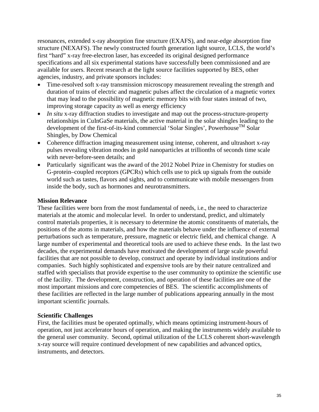resonances, extended x-ray absorption fine structure (EXAFS), and near-edge absorption fine structure (NEXAFS). The newly constructed fourth generation light source, LCLS, the world's first "hard" x-ray free-electron laser, has exceeded its original designed performance specifications and all six experimental stations have successfully been commissioned and are available for users. Recent research at the light source facilities supported by BES, other agencies, industry, and private sponsors includes:

- Time-resolved soft x-ray transmission microscopy measurement revealing the strength and duration of trains of electric and magnetic pulses affect the circulation of a magnetic vortex that may lead to the possibility of magnetic memory bits with four states instead of two, improving storage capacity as well as energy efficiency
- *In situ* x-ray diffraction studies to investigate and map out the process-structure-property relationships in CuInGaSe materials, the active material in the solar shingles leading to the development of the first-of-its-kind commercial 'Solar Singles', Powerhouse<sup>TM</sup> Solar Shingles, by Dow Chemical
- Coherence diffraction imaging measurement using intense, coherent, and ultrashort x-ray pulses revealing vibration modes in gold nanoparticles at trillionths of seconds time scale with never-before-seen details; and
- Particularly significant was the award of the 2012 Nobel Prize in Chemistry for studies on G-protein–coupled receptors (GPCRs) which cells use to pick up signals from the outside world such as tastes, flavors and sights, and to communicate with mobile messengers from inside the body, such as hormones and neurotransmitters.

#### **Mission Relevance**

These facilities were born from the most fundamental of needs, i.e., the need to characterize materials at the atomic and molecular level. In order to understand, predict, and ultimately control materials properties, it is necessary to determine the atomic constituents of materials, the positions of the atoms in materials, and how the materials behave under the influence of external perturbations such as temperature, pressure, magnetic or electric field, and chemical change. A large number of experimental and theoretical tools are used to achieve these ends. In the last two decades, the experimental demands have motivated the development of large scale powerful facilities that are not possible to develop, construct and operate by individual institutions and/or companies. Such highly sophisticated and expensive tools are by their nature centralized and staffed with specialists that provide expertise to the user community to optimize the scientific use of the facility. The development, construction, and operation of these facilities are one of the most important missions and core competencies of BES. The scientific accomplishments of these facilities are reflected in the large number of publications appearing annually in the most important scientific journals.

#### **Scientific Challenges**

First, the facilities must be operated optimally, which means optimizing instrument-hours of operation, not just accelerator hours of operation, and making the instruments widely available to the general user community. Second, optimal utilization of the LCLS coherent short-wavelength x-ray source will require continued development of new capabilities and advanced optics, instruments, and detectors.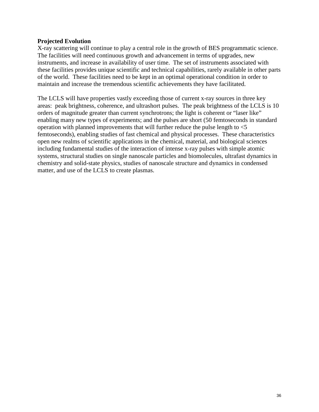#### **Projected Evolution**

X-ray scattering will continue to play a central role in the growth of BES programmatic science. The facilities will need continuous growth and advancement in terms of upgrades, new instruments, and increase in availability of user time. The set of instruments associated with these facilities provides unique scientific and technical capabilities, rarely available in other parts of the world. These facilities need to be kept in an optimal operational condition in order to maintain and increase the tremendous scientific achievements they have facilitated.

The LCLS will have properties vastly exceeding those of current x-ray sources in three key areas: peak brightness, coherence, and ultrashort pulses. The peak brightness of the LCLS is 10 orders of magnitude greater than current synchrotrons; the light is coherent or "laser like" enabling many new types of experiments; and the pulses are short (50 femtoseconds in standard operation with planned improvements that will further reduce the pulse length to <5 femtoseconds), enabling studies of fast chemical and physical processes. These characteristics open new realms of scientific applications in the chemical, material, and biological sciences including fundamental studies of the interaction of intense x-ray pulses with simple atomic systems, structural studies on single nanoscale particles and biomolecules, ultrafast dynamics in chemistry and solid-state physics, studies of nanoscale structure and dynamics in condensed matter, and use of the LCLS to create plasmas.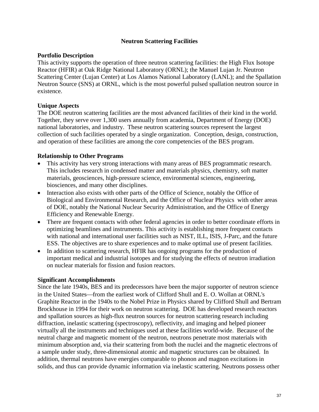## **Neutron Scattering Facilities**

### **Portfolio Description**

This activity supports the operation of three neutron scattering facilities: the High Flux Isotope Reactor (HFIR) at Oak Ridge National Laboratory (ORNL); the Manuel Lujan Jr. Neutron Scattering Center (Lujan Center) at Los Alamos National Laboratory (LANL); and the Spallation Neutron Source (SNS) at ORNL, which is the most powerful pulsed spallation neutron source in existence.

## **Unique Aspects**

The DOE neutron scattering facilities are the most advanced facilities of their kind in the world. Together, they serve over 1,300 users annually from academia, Department of Energy (DOE) national laboratories, and industry. These neutron scattering sources represent the largest collection of such facilities operated by a single organization. Conception, design, construction, and operation of these facilities are among the core competencies of the BES program.

### **Relationship to Other Programs**

- This activity has very strong interactions with many areas of BES programmatic research. This includes research in condensed matter and materials physics, chemistry, soft matter materials, geosciences, high-pressure science, environmental sciences, engineering, biosciences, and many other disciplines.
- Interaction also exists with other parts of the Office of Science, notably the Office of Biological and Environmental Research, and the Office of Nuclear Physics with other areas of DOE, notably the National Nuclear Security Administration, and the Office of Energy Efficiency and Renewable Energy.
- There are frequent contacts with other federal agencies in order to better coordinate efforts in optimizing beamlines and instruments. This activity is establishing more frequent contacts with national and international user facilities such as NIST, ILL, ISIS, J-Parc, and the future ESS. The objectives are to share experiences and to make optimal use of present facilities.
- In addition to scattering research, HFIR has ongoing programs for the production of important medical and industrial isotopes and for studying the effects of neutron irradiation on nuclear materials for fission and fusion reactors.

#### **Significant Accomplishments**

Since the late 1940s, BES and its predecessors have been the major supporter of neutron science in the United States—from the earliest work of Clifford Shull and E. O. Wollan at ORNL's Graphite Reactor in the 1940s to the Nobel Prize in Physics shared by Clifford Shull and Bertram Brockhouse in 1994 for their work on neutron scattering. DOE has developed research reactors and spallation sources as high-flux neutron sources for neutron scattering research including diffraction, inelastic scattering (spectroscopy), reflectivity, and imaging and helped pioneer virtually all the instruments and techniques used at these facilities world-wide. Because of the neutral charge and magnetic moment of the neutron, neutrons penetrate most materials with minimum absorption and, via their scattering from both the nuclei and the magnetic electrons of a sample under study, three-dimensional atomic and magnetic structures can be obtained. In addition, thermal neutrons have energies comparable to phonon and magnon excitations in solids, and thus can provide dynamic information via inelastic scattering. Neutrons possess other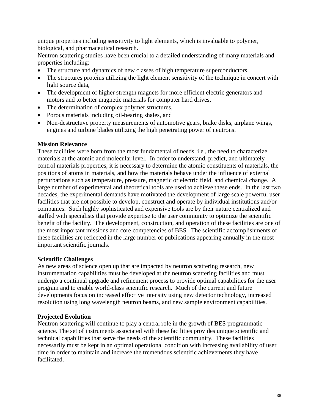unique properties including sensitivity to light elements, which is invaluable to polymer, biological, and pharmaceutical research.

Neutron scattering studies have been crucial to a detailed understanding of many materials and properties including:

- The structure and dynamics of new classes of high temperature superconductors,
- The structures proteins utilizing the light element sensitivity of the technique in concert with light source data,
- The development of higher strength magnets for more efficient electric generators and motors and to better magnetic materials for computer hard drives,
- The determination of complex polymer structures,
- Porous materials including oil-bearing shales, and
- Non-destructuve property measurements of automotive gears, brake disks, airplane wings, engines and turbine blades utilizing the high penetrating power of neutrons.

#### **Mission Relevance**

These facilities were born from the most fundamental of needs, i.e., the need to characterize materials at the atomic and molecular level. In order to understand, predict, and ultimately control materials properties, it is necessary to determine the atomic constituents of materials, the positions of atoms in materials, and how the materials behave under the influence of external perturbations such as temperature, pressure, magnetic or electric field, and chemical change. A large number of experimental and theoretical tools are used to achieve these ends. In the last two decades, the experimental demands have motivated the development of large scale powerful user facilities that are not possible to develop, construct and operate by individual institutions and/or companies. Such highly sophisticated and expensive tools are by their nature centralized and staffed with specialists that provide expertise to the user community to optimize the scientific benefit of the facility. The development, construction, and operation of these facilities are one of the most important missions and core competencies of BES. The scientific accomplishments of these facilities are reflected in the large number of publications appearing annually in the most important scientific journals.

#### **Scientific Challenges**

As new areas of science open up that are impacted by neutron scattering research, new instrumentation capabilities must be developed at the neutron scattering facilities and must undergo a continual upgrade and refinement process to provide optimal capabilities for the user program and to enable world-class scientific research. Much of the current and future developments focus on increased effective intensity using new detector technology, increased resolution using long wavelength neutron beams, and new sample environment capabilities.

#### **Projected Evolution**

Neutron scattering will continue to play a central role in the growth of BES programmatic science. The set of instruments associated with these facilities provides unique scientific and technical capabilities that serve the needs of the scientific community. These facilities necessarily must be kept in an optimal operational condition with increasing availability of user time in order to maintain and increase the tremendous scientific achievements they have facilitated.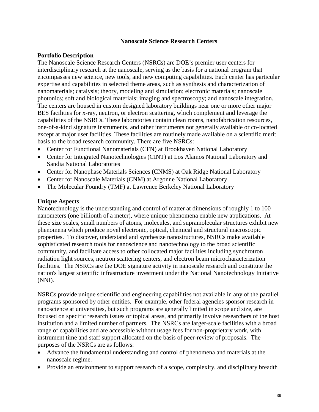### **Nanoscale Science Research Centers**

### **Portfolio Description**

The Nanoscale Science Research Centers (NSRCs) are DOE's premier user centers for interdisciplinary research at the nanoscale, serving as the basis for a national program that encompasses new science, new tools, and new computing capabilities. Each center has particular expertise and capabilities in selected theme areas, such as synthesis and characterization of nanomaterials; catalysis; theory, modeling and simulation; electronic materials; nanoscale photonics; soft and biological materials; imaging and spectroscopy; and nanoscale integration. The centers are housed in custom designed laboratory buildings near one or more other major BES facilities for x-ray, neutron, or electron scattering, which complement and leverage the capabilities of the NSRCs. These laboratories contain clean rooms, nanofabrication resources, one-of-a-kind signature instruments, and other instruments not generally available or co-located except at major user facilities. These facilities are routinely made available on a scientific merit basis to the broad research community. There are five NSRCs:

- Center for Functional Nanomaterials (CFN) at Brookhaven National Laboratory
- Center for Integrated Nanotechnologies (CINT) at Los Alamos National Laboratory and Sandia National Laboratories
- Center for Nanophase Materials Sciences (CNMS) at Oak Ridge National Laboratory
- Center for Nanoscale Materials (CNM) at Argonne National Laboratory
- The Molecular Foundry (TMF) at Lawrence Berkeley National Laboratory

### **Unique Aspects**

Nanotechnology is the understanding and control of matter at dimensions of roughly 1 to 100 nanometers (one billionth of a meter), where unique phenomena enable new applications. At these size scales, small numbers of atoms, molecules, and supramolecular structures exhibit new phenomena which produce novel electronic, optical, chemical and structural macroscopic properties. To discover, understand and synthesize nanostructures, NSRCs make available sophisticated research tools for nanoscience and nanotechnology to the broad scientific community, and facilitate access to other collocated major facilities including synchrotron radiation light sources, neutron scattering centers, and electron beam microcharacterization facilities. The NSRCs are the DOE signature activity in nanoscale research and constitute the nation's largest scientific infrastructure investment under the National Nanotechnology Initiative (NNI).

NSRCs provide unique scientific and engineering capabilities not available in any of the parallel programs sponsored by other entities. For example, other federal agencies sponsor research in nanoscience at universities, but such programs are generally limited in scope and size, are focused on specific research issues or topical areas, and primarily involve researchers of the host institution and a limited number of partners. The NSRCs are larger-scale facilities with a broad range of capabilities and are accessible without usage fees for non-proprietary work, with instrument time and staff support allocated on the basis of peer-review of proposals. The purposes of the NSRCs are as follows:

- Advance the fundamental understanding and control of phenomena and materials at the nanoscale regime.
- Provide an environment to support research of a scope, complexity, and disciplinary breadth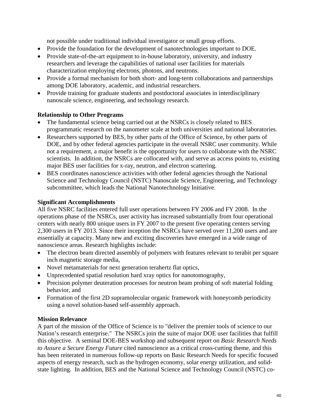not possible under traditional individual investigator or small group efforts.

- Provide the foundation for the development of nanotechnologies important to DOE.
- Provide state-of-the-art equipment to in-house laboratory, university, and industry researchers and leverage the capabilities of national user facilities for materials characterization employing electrons, photons, and neutrons.
- Provide a formal mechanism for both short- and long-term collaborations and partnerships among DOE laboratory, academic, and industrial researchers.
- Provide training for graduate students and postdoctoral associates in interdisciplinary nanoscale science, engineering, and technology research.

# **Relationship to Other Programs**

- The fundamental science being carried out at the NSRCs is closely related to BES programmatic research on the nanometer scale at both universities and national laboratories.
- Researchers supported by BES, by other parts of the Office of Science, by other parts of DOE, and by other federal agencies participate in the overall NSRC user community. While not a requirement, a major benefit is the opportunity for users to collaborate with the NSRC scientists. In addition, the NSRCs are collocated with, and serve as access points to, existing major BES user facilities for x-ray, neutron, and electron scattering.
- BES coordinates nanoscience activities with other federal agencies through the National Science and Technology Council (NSTC) Nanoscale Science, Engineering, and Technology subcommittee, which leads the National Nanotechnology Initiative.

# **Significant Accomplishments**

All five NSRC facilities entered full user operations between FY 2006 and FY 2008. In the operations phase of the NSRCs, user activity has increased substantially from four operational centers with nearly 800 unique users in FY 2007 to the present five operating centers serving 2,300 users in FY 2013. Since their inception the NSRCs have served over 11,200 users and are essentially at capacity. Many new and exciting discoveries have emerged in a wide range of nanoscience areas. Research highlights include:

- The electron beam directed assembly of polymers with features relevant to terabit per square inch magnetic storage media,
- Novel metamaterials for next generation terahertz flat optics,
- Unprecedented spatial resolution hard xray optics for nanotomography,
- Precision polymer deuteration processes for neutron beam probing of soft material folding behavior, and
- Formation of the first 2D supramolecular organic framework with honeycomb periodicity using a novel solution-based self-assembly approach.

## **Mission Relevance**

A part of the mission of the Office of Science is to "deliver the premier tools of science to our Nation's research enterprise." The NSRCs join the suite of major DOE user facilities that fulfill this objective. A seminal DOE-BES workshop and subsequent report on *Basic Research Needs to Assure a Secure Energy Future* cited nanoscience as a critical cross-cutting theme, and this has been reiterated in numerous follow-up reports on Basic Research Needs for specific focused aspects of energy research, such as the hydrogen economy, solar energy utilization, and solidstate lighting. In addition, BES and the National Science and Technology Council (NSTC) co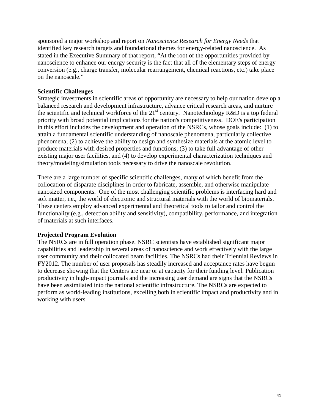sponsored a major workshop and report on *Nanoscience Research for Energy Needs* that identified key research targets and foundational themes for energy-related nanoscience. As stated in the Executive Summary of that report, "At the root of the opportunities provided by nanoscience to enhance our energy security is the fact that all of the elementary steps of energy conversion (e.g., charge transfer, molecular rearrangement, chemical reactions, etc.) take place on the nanoscale."

## **Scientific Challenges**

Strategic investments in scientific areas of opportunity are necessary to help our nation develop a balanced research and development infrastructure, advance critical research areas, and nurture the scientific and technical workforce of the  $21<sup>st</sup>$  century. Nanotechnology R&D is a top federal priority with broad potential implications for the nation's competitiveness. DOE's participation in this effort includes the development and operation of the NSRCs, whose goals include: (1) to attain a fundamental scientific understanding of nanoscale phenomena, particularly collective phenomena; (2) to achieve the ability to design and synthesize materials at the atomic level to produce materials with desired properties and functions; (3) to take full advantage of other existing major user facilities, and (4) to develop experimental characterization techniques and theory/modeling/simulation tools necessary to drive the nanoscale revolution.

There are a large number of specific scientific challenges, many of which benefit from the collocation of disparate disciplines in order to fabricate, assemble, and otherwise manipulate nanosized components. One of the most challenging scientific problems is interfacing hard and soft matter, i.e., the world of electronic and structural materials with the world of biomaterials. These centers employ advanced experimental and theoretical tools to tailor and control the functionality (e.g., detection ability and sensitivity), compatibility, performance, and integration of materials at such interfaces.

#### **Projected Program Evolution**

The NSRCs are in full operation phase. NSRC scientists have established significant major capabilities and leadership in several areas of nanoscience and work effectively with the large user community and their collocated beam facilities. The NSRCs had their Triennial Reviews in FY2012. The number of user proposals has steadily increased and acceptance rates have begun to decrease showing that the Centers are near or at capacity for their funding level. Publication productivity in high-impact journals and the increasing user demand are signs that the NSRCs have been assimilated into the national scientific infrastructure. The NSRCs are expected to perform as world-leading institutions, excelling both in scientific impact and productivity and in working with users.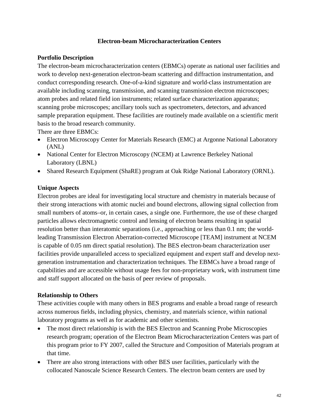## **Electron-beam Microcharacterization Centers**

### **Portfolio Description**

The electron-beam microcharacterization centers (EBMCs) operate as national user facilities and work to develop next-generation electron-beam scattering and diffraction instrumentation, and conduct corresponding research. One-of-a-kind signature and world-class instrumentation are available including scanning, transmission, and scanning transmission electron microscopes; atom probes and related field ion instruments; related surface characterization apparatus; scanning probe microscopes; ancillary tools such as spectrometers, detectors, and advanced sample preparation equipment. These facilities are routinely made available on a scientific merit basis to the broad research community.

There are three EBMCs:

- Electron Microscopy Center for Materials Research (EMC) at Argonne National Laboratory (ANL)
- National Center for Electron Microscopy (NCEM) at Lawrence Berkeley National Laboratory (LBNL)
- Shared Research Equipment (ShaRE) program at Oak Ridge National Laboratory (ORNL).

### **Unique Aspects**

Electron probes are ideal for investigating local structure and chemistry in materials because of their strong interactions with atomic nuclei and bound electrons, allowing signal collection from small numbers of atoms–or, in certain cases, a single one. Furthermore, the use of these charged particles allows electromagnetic control and lensing of electron beams resulting in spatial resolution better than interatomic separations (i.e., approaching or less than 0.1 nm; the worldleading Transmission Electron Aberration-corrected Microscope [TEAM] instrument at NCEM is capable of 0.05 nm direct spatial resolution). The BES electron-beam characterization user facilities provide unparalleled access to specialized equipment and expert staff and develop nextgeneration instrumentation and characterization techniques. The EBMCs have a broad range of capabilities and are accessible without usage fees for non-proprietary work, with instrument time and staff support allocated on the basis of peer review of proposals.

#### **Relationship to Others**

These activities couple with many others in BES programs and enable a broad range of research across numerous fields, including physics, chemistry, and materials science, within national laboratory programs as well as for academic and other scientists.

- The most direct relationship is with the BES Electron and Scanning Probe Microscopies research program; operation of the Electron Beam Microcharacterization Centers was part of this program prior to FY 2007, called the Structure and Composition of Materials program at that time.
- There are also strong interactions with other BES user facilities, particularly with the collocated Nanoscale Science Research Centers. The electron beam centers are used by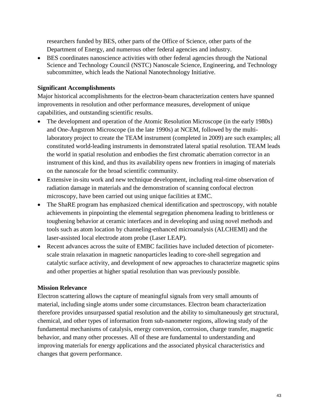researchers funded by BES, other parts of the Office of Science, other parts of the Department of Energy, and numerous other federal agencies and industry.

• BES coordinates nanoscience activities with other federal agencies through the National Science and Technology Council (NSTC) Nanoscale Science, Engineering, and Technology subcommittee, which leads the National Nanotechnology Initiative.

## **Significant Accomplishments**

Major historical accomplishments for the electron-beam characterization centers have spanned improvements in resolution and other performance measures, development of unique capabilities, and outstanding scientific results.

- The development and operation of the Atomic Resolution Microscope (in the early 1980s) and One-Ångstrom Microscope (in the late 1990s) at NCEM, followed by the multilaboratory project to create the TEAM instrument (completed in 2009) are such examples; all constituted world-leading instruments in demonstrated lateral spatial resolution. TEAM leads the world in spatial resolution and embodies the first chromatic aberration corrector in an instrument of this kind, and thus its availability opens new frontiers in imaging of materials on the nanoscale for the broad scientific community.
- Extensive in-situ work and new technique development, including real-time observation of radiation damage in materials and the demonstration of scanning confocal electron microscopy, have been carried out using unique facilities at EMC.
- The ShaRE program has emphasized chemical identification and spectroscopy, with notable achievements in pinpointing the elemental segregation phenomena leading to brittleness or toughening behavior at ceramic interfaces and in developing and using novel methods and tools such as atom location by channeling-enhanced microanalysis (ALCHEMI) and the laser-assisted local electrode atom probe (Laser LEAP).
- Recent advances across the suite of EMBC facilities have included detection of picometerscale strain relaxation in magnetic nanoparticles leading to core-shell segregation and catalytic surface activity, and development of new approaches to characterize magnetic spins and other properties at higher spatial resolution than was previously possible.

# **Mission Relevance**

Electron scattering allows the capture of meaningful signals from very small amounts of material, including single atoms under some circumstances. Electron beam characterization therefore provides unsurpassed spatial resolution and the ability to simultaneously get structural, chemical, and other types of information from sub-nanometer regions, allowing study of the fundamental mechanisms of catalysis, energy conversion, corrosion, charge transfer, magnetic behavior, and many other processes. All of these are fundamental to understanding and improving materials for energy applications and the associated physical characteristics and changes that govern performance.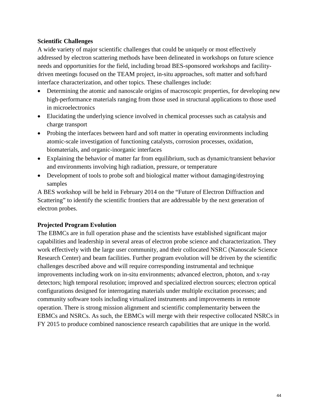## **Scientific Challenges**

A wide variety of major scientific challenges that could be uniquely or most effectively addressed by electron scattering methods have been delineated in workshops on future science needs and opportunities for the field, including broad BES-sponsored workshops and facilitydriven meetings focused on the TEAM project, in-situ approaches, soft matter and soft/hard interface characterization, and other topics. These challenges include:

- Determining the atomic and nanoscale origins of macroscopic properties, for developing new high-performance materials ranging from those used in structural applications to those used in microelectronics
- Elucidating the underlying science involved in chemical processes such as catalysis and charge transport
- Probing the interfaces between hard and soft matter in operating environments including atomic-scale investigation of functioning catalysts, corrosion processes, oxidation, biomaterials, and organic-inorganic interfaces
- Explaining the behavior of matter far from equilibrium, such as dynamic/transient behavior and environments involving high radiation, pressure, or temperature
- Development of tools to probe soft and biological matter without damaging/destroying samples

A BES workshop will be held in February 2014 on the "Future of Electron Diffraction and Scattering" to identify the scientific frontiers that are addressable by the next generation of electron probes.

## **Projected Program Evolution**

The EBMCs are in full operation phase and the scientists have established significant major capabilities and leadership in several areas of electron probe science and characterization. They work effectively with the large user community, and their collocated NSRC (Nanoscale Science Research Center) and beam facilities. Further program evolution will be driven by the scientific challenges described above and will require corresponding instrumental and technique improvements including work on in-situ environments; advanced electron, photon, and x-ray detectors; high temporal resolution; improved and specialized electron sources; electron optical configurations designed for interrogating materials under multiple excitation processes; and community software tools including virtualized instruments and improvements in remote operation. There is strong mission alignment and scientific complementarity between the EBMCs and NSRCs. As such, the EBMCs will merge with their respective collocated NSRCs in FY 2015 to produce combined nanoscience research capabilities that are unique in the world.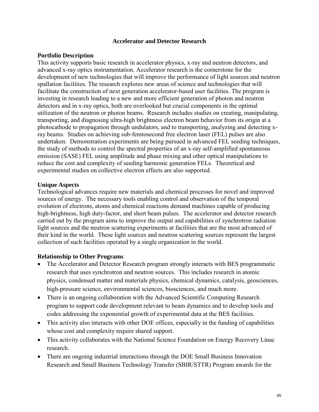### **Accelerator and Detector Research**

### **Portfolio Description**

This activity supports basic research in accelerator physics, x-ray and neutron detectors, and advanced x-ray optics instrumentation. Accelerator research is the cornerstone for the development of new technologies that will improve the performance of light sources and neutron spallation facilities. The research explores new areas of science and technologies that will facilitate the construction of next generation accelerator-based user facilities. The program is investing in research leading to a new and more efficient generation of photon and neutron detectors and in x-ray optics, both are overlooked but crucial components in the optimal utilization of the neutron or photon beams. Research includes studies on creating, manipulating, transporting, and diagnosing ultra-high brightness electron beam behavior from its origin at a photocathode to propagation through undulators, and to transporting, analyzing and detecting xray beams. Studies on achieving sub-femtosecond free electron laser (FEL) pulses are also undertaken. Demonstration experiments are being pursued in advanced FEL seeding techniques, the study of methods to control the spectral properties of an x-ray self-amplified spontaneous emission (SASE) FEL using amplitude and phase mixing and other optical manipulations to reduce the cost and complexity of seeding harmonic generation FELs. Theoretical and experimental studies on collective electron effects are also supported.

### **Unique Aspects**

Technological advances require new materials and chemical processes for novel and improved sources of energy. The necessary tools enabling control and observation of the temporal evolution of electrons, atoms and chemical reactions demand machines capable of producing high-brightness, high duty-factor, and short beam pulses. The accelerator and detector research carried out by the program aims to improve the output and capabilities of synchrotron radiation light sources and the neutron scattering experiments at facilities that are the most advanced of their kind in the world. These light sources and neutron scattering sources represent the largest collection of such facilities operated by a single organization in the world.

#### **Relationship to Other Programs**

- The Accelerator and Detector Research program strongly interacts with BES programmatic research that uses synchrotron and neutron sources. This includes research in atomic physics, condensed matter and materials physics, chemical dynamics, catalysis, geosciences, high-pressure science, environmental sciences, biosciences, and much more.
- There is an ongoing collaboration with the Advanced Scientific Computing Research program to support code development relevant to beam dynamics and to develop tools and codes addressing the exponential growth of experimental data at the BES facilities.
- This activity also interacts with other DOE offices, especially in the funding of capabilities whose cost and complexity require shared support.
- This activity collaborates with the National Science Foundation on Energy Recovery Linac research.
- There are ongoing industrial interactions through the DOE Small Business Innovation Research and Small Business Technology Transfer (SBIR/STTR) Program awards for the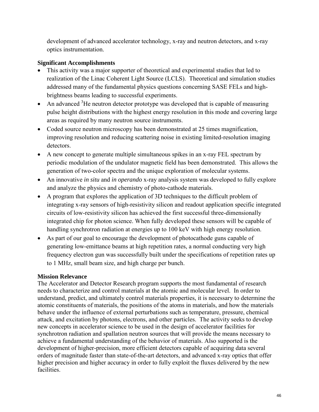development of advanced accelerator technology, x-ray and neutron detectors, and x-ray optics instrumentation.

# **Significant Accomplishments**

- This activity was a major supporter of theoretical and experimental studies that led to realization of the Linac Coherent Light Source (LCLS). Theoretical and simulation studies addressed many of the fundamental physics questions concerning SASE FELs and highbrightness beams leading to successful experiments.
- An advanced  $3$ He neutron detector prototype was developed that is capable of measuring pulse height distributions with the highest energy resolution in this mode and covering large areas as required by many neutron source instruments.
- Coded source neutron microscopy has been demonstrated at 25 times magnification, improving resolution and reducing scattering noise in existing limited-resolution imaging detectors.
- A new concept to generate multiple simultaneous spikes in an x-ray FEL spectrum by periodic modulation of the undulator magnetic field has been demonstrated. This allows the generation of two-color spectra and the unique exploration of molecular systems.
- An innovative *in situ* and *in operando* x-ray analysis system was developed to fully explore and analyze the physics and chemistry of photo-cathode materials.
- A program that explores the application of 3D techniques to the difficult problem of integrating x-ray sensors of high-resistivity silicon and readout application specific integrated circuits of low-resistivity silicon has achieved the first successful three-dimensionally integrated chip for photon science. When fully developed these sensors will be capable of handling synchrotron radiation at energies up to 100 keV with high energy resolution.
- As part of our goal to encourage the development of photocathode guns capable of generating low-emittance beams at high repetition rates, a normal conducting very high frequency electron gun was successfully built under the specifications of repetition rates up to 1 MHz, small beam size, and high charge per bunch.

## **Mission Relevance**

The Accelerator and Detector Research program supports the most fundamental of research needs to characterize and control materials at the atomic and molecular level. In order to understand, predict, and ultimately control materials properties, it is necessary to determine the atomic constituents of materials, the positions of the atoms in materials, and how the materials behave under the influence of external perturbations such as temperature, pressure, chemical attack, and excitation by photons, electrons, and other particles. The activity seeks to develop new concepts in accelerator science to be used in the design of accelerator facilities for synchrotron radiation and spallation neutron sources that will provide the means necessary to achieve a fundamental understanding of the behavior of materials. Also supported is the development of higher-precision, more efficient detectors capable of acquiring data several orders of magnitude faster than state-of-the-art detectors, and advanced x-ray optics that offer higher precision and higher accuracy in order to fully exploit the fluxes delivered by the new facilities.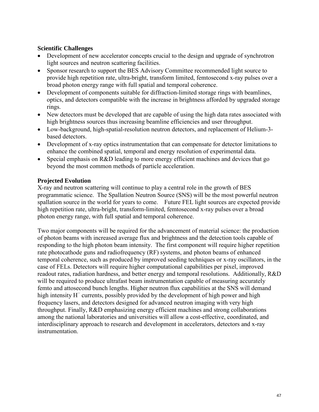## **Scientific Challenges**

- Development of new accelerator concepts crucial to the design and upgrade of synchrotron light sources and neutron scattering facilities.
- Sponsor research to support the BES Advisory Committee recommended light source to provide high repetition rate, ultra-bright, transform limited, femtosecond x-ray pulses over a broad photon energy range with full spatial and temporal coherence.
- Development of components suitable for diffraction-limited storage rings with beamlines, optics, and detectors compatible with the increase in brightness afforded by upgraded storage rings.
- New detectors must be developed that are capable of using the high data rates associated with high brightness sources thus increasing beamline efficiencies and user throughput.
- Low-background, high-spatial-resolution neutron detectors, and replacement of Helium-3 based detectors.
- Development of x-ray optics instrumentation that can compensate for detector limitations to enhance the combined spatial, temporal and energy resolution of experimental data.
- Special emphasis on R&D leading to more energy efficient machines and devices that go beyond the most common methods of particle acceleration.

### **Projected Evolution**

X-ray and neutron scattering will continue to play a central role in the growth of BES programmatic science. The Spallation Neutron Source (SNS) will be the most powerful neutron spallation source in the world for years to come. Future FEL light sources are expected provide high repetition rate, ultra-bright, transform-limited, femtosecond x-ray pulses over a broad photon energy range, with full spatial and temporal coherence.

Two major components will be required for the advancement of material science: the production of photon beams with increased average flux and brightness and the detection tools capable of responding to the high photon beam intensity. The first component will require higher repetition rate photocathode guns and radiofrequency (RF) systems, and photon beams of enhanced temporal coherence, such as produced by improved seeding techniques or x-ray oscillators, in the case of FELs. Detectors will require higher computational capabilities per pixel, improved readout rates, radiation hardness, and better energy and temporal resolutions. Additionally, R&D will be required to produce ultrafast beam instrumentation capable of measuring accurately femto and attosecond bunch lengths. Higher neutron flux capabilities at the SNS will demand high intensity H− currents, possibly provided by the development of high power and high frequency lasers, and detectors designed for advanced neutron imaging with very high throughput. Finally, R&D emphasizing energy efficient machines and strong collaborations among the national laboratories and universities will allow a cost-effective, coordinated, and interdisciplinary approach to research and development in accelerators, detectors and x-ray instrumentation.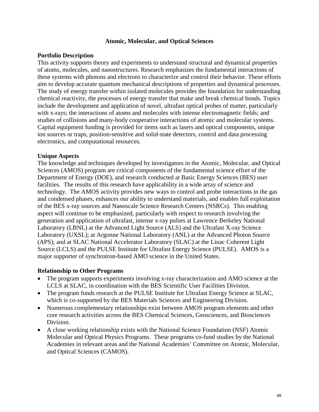#### **Atomic, Molecular, and Optical Sciences**

### **Portfolio Description**

This activity supports theory and experiments to understand structural and dynamical properties of atoms, molecules, and nanostructures. Research emphasizes the fundamental interactions of these systems with photons and electrons to characterize and control their behavior. These efforts aim to develop accurate quantum mechanical descriptions of properties and dynamical processes. The study of energy transfer within isolated molecules provides the foundation for understanding chemical reactivity, the processes of energy transfer that make and break chemical bonds. Topics include the development and application of novel, ultrafast optical probes of matter, particularly with x-rays; the interactions of atoms and molecules with intense electromagnetic fields; and studies of collisions and many-body cooperative interactions of atomic and molecular systems. Capital equipment funding is provided for items such as lasers and optical components, unique ion sources or traps, position-sensitive and solid-state detectors, control and data processing electronics, and computational resources.

### **Unique Aspects**

The knowledge and techniques developed by investigators in the Atomic, Molecular, and Optical Sciences (AMOS) program are critical components of the fundamental science effort of the Department of Energy (DOE), and research conducted at Basic Energy Sciences (BES) user facilities. The results of this research have applicability in a wide array of science and technology. The AMOS activity provides new ways to control and probe interactions in the gas and condensed phases, enhances our ability to understand materials, and enables full exploitation of the BES x-ray sources and Nanoscale Science Research Centers (NSRCs). This enabling aspect will continue to be emphasized, particularly with respect to research involving the generation and application of ultrafast, intense x-ray pulses at Lawrence Berkeley National Laboratory (LBNL) at the Advanced Light Source (ALS) and the Ultrafast X-ray Science Laboratory (UXSL); at Argonne National Laboratory (ANL) at the Advanced Photon Source (APS); and at SLAC National Accelerator Laboratory (SLAC) at the Linac Coherent Light Source (LCLS) and the PULSE Institute for Ultrafast Energy Science (PULSE). AMOS is a major supporter of synchrotron-based AMO science in the United States.

#### **Relationship to Other Programs**

- The program supports experiments involving x-ray characterization and AMO science at the LCLS at SLAC, in coordination with the BES Scientific User Facilities Division.
- The program funds research at the PULSE Institute for Ultrafast Energy Science at SLAC, which is co-supported by the BES Materials Sciences and Engineering Division.
- Numerous complementary relationships exist between AMOS program elements and other core research activities across the BES Chemical Sciences, Geosciences, and Biosciences Division.
- A close working relationship exists with the National Science Foundation (NSF) Atomic Molecular and Optical Physics Programs. These programs co-fund studies by the National Academies in relevant areas and the National Academies' Committee on Atomic, Molecular, and Optical Sciences (CAMOS).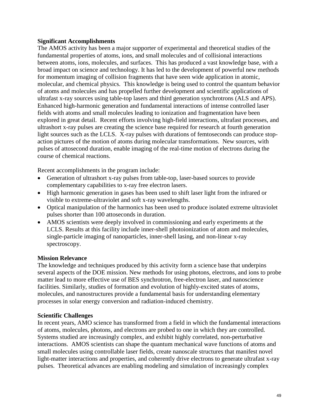### **Significant Accomplishments**

The AMOS activity has been a major supporter of experimental and theoretical studies of the fundamental properties of atoms, ions, and small molecules and of collisional interactions between atoms, ions, molecules, and surfaces. This has produced a vast knowledge base, with a broad impact on science and technology. It has led to the development of powerful new methods for momentum imaging of collision fragments that have seen wide application in atomic, molecular, and chemical physics. This knowledge is being used to control the quantum behavior of atoms and molecules and has propelled further development and scientific applications of ultrafast x-ray sources using table-top lasers and third generation synchrotrons (ALS and APS). Enhanced high-harmonic generation and fundamental interactions of intense controlled laser fields with atoms and small molecules leading to ionization and fragmentation have been explored in great detail. Recent efforts involving high-field interactions, ultrafast processes, and ultrashort x-ray pulses are creating the science base required for research at fourth generation light sources such as the LCLS. X-ray pulses with durations of femtoseconds can produce stopaction pictures of the motion of atoms during molecular transformations. New sources, with pulses of attosecond duration, enable imaging of the real-time motion of electrons during the course of chemical reactions.

Recent accomplishments in the program include:

- Generation of ultrashort x-ray pulses from table-top, laser-based sources to provide complementary capabilities to x-ray free electron lasers.
- High harmonic generation in gases has been used to shift laser light from the infrared or visible to extreme-ultraviolet and soft x-ray wavelengths.
- Optical manipulation of the harmonics has been used to produce isolated extreme ultraviolet pulses shorter than 100 attoseconds in duration.
- AMOS scientists were deeply involved in commissioning and early experiments at the LCLS. Results at this facility include inner-shell photoionization of atom and molecules, single-particle imaging of nanoparticles, inner-shell lasing, and non-linear x-ray spectroscopy.

#### **Mission Relevance**

The knowledge and techniques produced by this activity form a science base that underpins several aspects of the DOE mission. New methods for using photons, electrons, and ions to probe matter lead to more effective use of BES synchrotron, free-electron laser, and nanoscience facilities. Similarly, studies of formation and evolution of highly-excited states of atoms, molecules, and nanostructures provide a fundamental basis for understanding elementary processes in solar energy conversion and radiation-induced chemistry.

#### **Scientific Challenges**

In recent years, AMO science has transformed from a field in which the fundamental interactions of atoms, molecules, photons, and electrons are probed to one in which they are controlled. Systems studied are increasingly complex, and exhibit highly correlated, non-perturbative interactions. AMOS scientists can shape the quantum mechanical wave functions of atoms and small molecules using controllable laser fields, create nanoscale structures that manifest novel light-matter interactions and properties, and coherently drive electrons to generate ultrafast x-ray pulses. Theoretical advances are enabling modeling and simulation of increasingly complex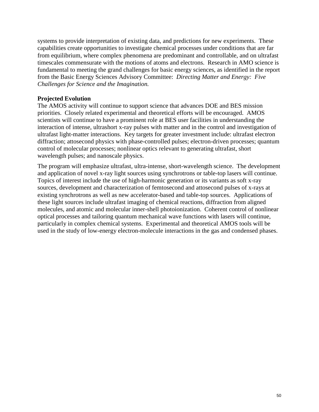systems to provide interpretation of existing data, and predictions for new experiments. These capabilities create opportunities to investigate chemical processes under conditions that are far from equilibrium, where complex phenomena are predominant and controllable, and on ultrafast timescales commensurate with the motions of atoms and electrons. Research in AMO science is fundamental to meeting the grand challenges for basic energy sciences, as identified in the report from the Basic Energy Sciences Advisory Committee: *Directing Matter and Energy: Five Challenges for Science and the Imagination.*

## **Projected Evolution**

The AMOS activity will continue to support science that advances DOE and BES mission priorities. Closely related experimental and theoretical efforts will be encouraged. AMOS scientists will continue to have a prominent role at BES user facilities in understanding the interaction of intense, ultrashort x-ray pulses with matter and in the control and investigation of ultrafast light-matter interactions. Key targets for greater investment include: ultrafast electron diffraction; attosecond physics with phase-controlled pulses; electron-driven processes; quantum control of molecular processes; nonlinear optics relevant to generating ultrafast, short wavelength pulses; and nanoscale physics.

The program will emphasize ultrafast, ultra-intense, short-wavelength science. The development and application of novel x-ray light sources using synchrotrons or table-top lasers will continue. Topics of interest include the use of high-harmonic generation or its variants as soft x-ray sources, development and characterization of femtosecond and attosecond pulses of x-rays at existing synchrotrons as well as new accelerator-based and table-top sources. Applications of these light sources include ultrafast imaging of chemical reactions, diffraction from aligned molecules, and atomic and molecular inner-shell photoionization. Coherent control of nonlinear optical processes and tailoring quantum mechanical wave functions with lasers will continue, particularly in complex chemical systems. Experimental and theoretical AMOS tools will be used in the study of low-energy electron-molecule interactions in the gas and condensed phases.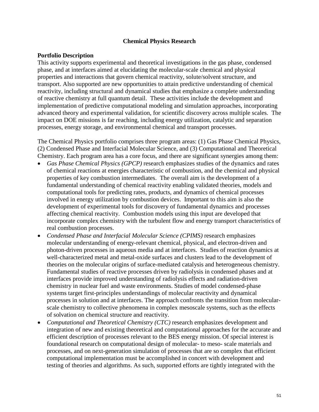#### **Chemical Physics Research**

#### **Portfolio Description**

This activity supports experimental and theoretical investigations in the gas phase, condensed phase, and at interfaces aimed at elucidating the molecular-scale chemical and physical properties and interactions that govern chemical reactivity, solute/solvent structure, and transport. Also supported are new opportunities to attain predictive understanding of chemical reactivity, including structural and dynamical studies that emphasize a complete understanding of reactive chemistry at full quantum detail. These activities include the development and implementation of predictive computational modeling and simulation approaches, incorporating advanced theory and experimental validation, for scientific discovery across multiple scales. The impact on DOE missions is far reaching, including energy utilization, catalytic and separation processes, energy storage, and environmental chemical and transport processes.

The Chemical Physics portfolio comprises three program areas: (1) Gas Phase Chemical Physics, (2) Condensed Phase and Interfacial Molecular Science, and (3) Computational and Theoretical Chemistry. Each program area has a core focus, and there are significant synergies among them:

- *Gas Phase Chemical Physics (GPCP)* research emphasizes studies of the dynamics and rates of chemical reactions at energies characteristic of combustion, and the chemical and physical properties of key combustion intermediates. The overall aim is the development of a fundamental understanding of chemical reactivity enabling validated theories, models and computational tools for predicting rates, products, and dynamics of chemical processes involved in energy utilization by combustion devices. Important to this aim is also the development of experimental tools for discovery of fundamental dynamics and processes affecting chemical reactivity. Combustion models using this input are developed that incorporate complex chemistry with the turbulent flow and energy transport characteristics of real combustion processes.
- *Condensed Phase and Interfacial Molecular Science (CPIMS)* research emphasizes molecular understanding of energy-relevant chemical, physical, and electron-driven and photon-driven processes in aqueous media and at interfaces. Studies of reaction dynamics at well-characterized metal and metal-oxide surfaces and clusters lead to the development of theories on the molecular origins of surface-mediated catalysis and heterogeneous chemistry. Fundamental studies of reactive processes driven by radiolysis in condensed phases and at interfaces provide improved understanding of radiolysis effects and radiation-driven chemistry in nuclear fuel and waste environments. Studies of model condensed-phase systems target first-principles understandings of molecular reactivity and dynamical processes in solution and at interfaces. The approach confronts the transition from molecularscale chemistry to collective phenomena in complex mesoscale systems, such as the effects of solvation on chemical structure and reactivity.
- *Computational and Theoretical Chemistry (CTC)* research emphasizes development and integration of new and existing theoretical and computational approaches for the accurate and efficient description of processes relevant to the BES energy mission. Of special interest is foundational research on computational design of molecular- to meso- scale materials and processes, and on next-generation simulation of processes that are so complex that efficient computational implementation must be accomplished in concert with development and testing of theories and algorithms. As such, supported efforts are tightly integrated with the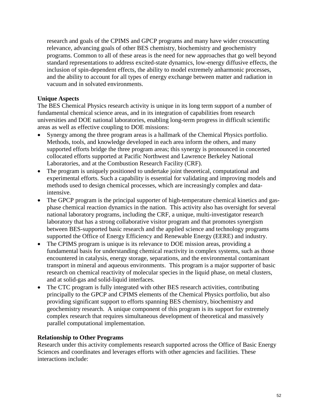research and goals of the CPIMS and GPCP programs and many have wider crosscutting relevance, advancing goals of other BES chemistry, biochemistry and geochemistry programs. Common to all of these areas is the need for new approaches that go well beyond standard representations to address excited-state dynamics, low-energy diffusive effects, the inclusion of spin-dependent effects, the ability to model extremely anharmonic processes, and the ability to account for all types of energy exchange between matter and radiation in vacuum and in solvated environments.

## **Unique Aspects**

The BES Chemical Physics research activity is unique in its long term support of a number of fundamental chemical science areas, and in its integration of capabilities from research universities and DOE national laboratories, enabling long-term progress in difficult scientific areas as well as effective coupling to DOE missions:

- Synergy among the three program areas is a hallmark of the Chemical Physics portfolio. Methods, tools, and knowledge developed in each area inform the others, and many supported efforts bridge the three program areas; this synergy is pronounced in concerted collocated efforts supported at Pacific Northwest and Lawrence Berkeley National Laboratories, and at the Combustion Research Facility (CRF).
- The program is uniquely positioned to undertake joint theoretical, computational and experimental efforts. Such a capability is essential for validating and improving models and methods used to design chemical processes, which are increasingly complex and dataintensive.
- The GPCP program is the principal supporter of high-temperature chemical kinetics and gasphase chemical reaction dynamics in the nation. This activity also has oversight for several national laboratory programs, including the CRF, a unique, multi-investigator research laboratory that has a strong collaborative visitor program and that promotes synergism between BES-supported basic research and the applied science and technology programs supported the Office of Energy Efficiency and Renewable Energy (EERE) and industry.
- The CPIMS program is unique is its relevance to DOE mission areas, providing a fundamental basis for understanding chemical reactivity in complex systems, such as those encountered in catalysis, energy storage, separations, and the environmental contaminant transport in mineral and aqueous environments. This program is a major supporter of basic research on chemical reactivity of molecular species in the liquid phase, on metal clusters, and at solid-gas and solid-liquid interfaces.
- The CTC program is fully integrated with other BES research activities, contributing principally to the GPCP and CPIMS elements of the Chemical Physics portfolio, but also providing significant support to efforts spanning BES chemistry, biochemistry and geochemistry research. A unique component of this program is its support for extremely complex research that requires simultaneous development of theoretical and massively parallel computational implementation.

## **Relationship to Other Programs**

Research under this activity complements research supported across the Office of Basic Energy Sciences and coordinates and leverages efforts with other agencies and facilities. These interactions include: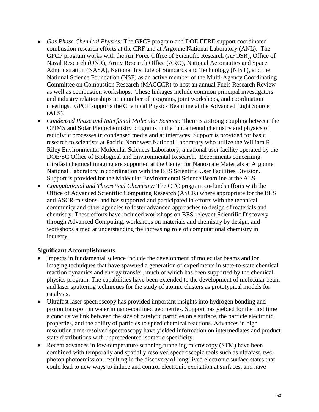- *Gas Phase Chemical Physics:* The GPCP program and DOE EERE support coordinated combustion research efforts at the CRF and at Argonne National Laboratory (ANL). The GPCP program works with the Air Force Office of Scientific Research (AFOSR), Office of Naval Research (ONR), Army Research Office (ARO), National Aeronautics and Space Administration (NASA), National Institute of Standards and Technology (NIST), and the National Science Foundation (NSF) as an active member of the Multi-Agency Coordinating Committee on Combustion Research (MACCCR) to host an annual Fuels Research Review as well as combustion workshops. These linkages include common principal investigators and industry relationships in a number of programs, joint workshops, and coordination meetings. GPCP supports the Chemical Physics Beamline at the Advanced Light Source  $(ALS).$
- *Condensed Phase and Interfacial Molecular Science:* There is a strong coupling between the CPIMS and Solar Photochemistry programs in the fundamental chemistry and physics of radiolytic processes in condensed media and at interfaces. Support is provided for basic research to scientists at Pacific Northwest National Laboratory who utilize the William R. Riley Environmental Molecular Sciences Laboratory, a national user facility operated by the DOE/SC Office of Biological and Environmental Research. Experiments concerning ultrafast chemical imaging are supported at the Center for Nanoscale Materials at Argonne National Laboratory in coordination with the BES Scientific User Facilities Division. Support is provided for the Molecular Environmental Science Beamline at the ALS.
- *Computational and Theoretical Chemistry:* The CTC program co-funds efforts with the Office of Advanced Scientific Computing Research (ASCR) where appropriate for the BES and ASCR missions, and has supported and participated in efforts with the technical community and other agencies to foster advanced approaches to design of materials and chemistry. These efforts have included workshops on BES-relevant Scientific Discovery through Advanced Computing, workshops on materials and chemistry by design, and workshops aimed at understanding the increasing role of computational chemistry in industry.

## **Significant Accomplishments**

- Impacts in fundamental science include the development of molecular beams and ion imaging techniques that have spawned a generation of experiments in state-to-state chemical reaction dynamics and energy transfer, much of which has been supported by the chemical physics program. The capabilities have been extended to the development of molecular beam and laser sputtering techniques for the study of atomic clusters as prototypical models for catalysis.
- Ultrafast laser spectroscopy has provided important insights into hydrogen bonding and proton transport in water in nano-confined geometries. Support has yielded for the first time a conclusive link between the size of catalytic particles on a surface, the particle electronic properties, and the ability of particles to speed chemical reactions. Advances in high resolution time-resolved spectroscopy have yielded information on intermediates and product state distributions with unprecedented isomeric specificity.
- Recent advances in low-temperature scanning tunneling microscopy (STM) have been combined with temporally and spatially resolved spectroscopic tools such as ultrafast, twophoton photoemission, resulting in the discovery of long-lived electronic surface states that could lead to new ways to induce and control electronic excitation at surfaces, and have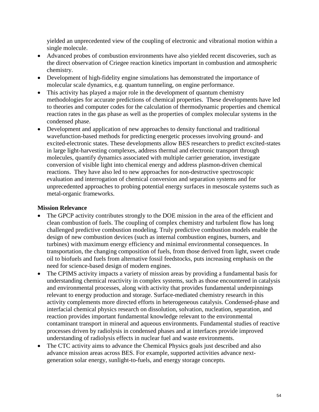yielded an unprecedented view of the coupling of electronic and vibrational motion within a single molecule.

- Advanced probes of combustion environments have also yielded recent discoveries, such as the direct observation of Criegee reaction kinetics important in combustion and atmospheric chemistry.
- Development of high-fidelity engine simulations has demonstrated the importance of molecular scale dynamics, e.g. quantum tunneling, on engine performance.
- This activity has played a major role in the development of quantum chemistry methodologies for accurate predictions of chemical properties. These developments have led to theories and computer codes for the calculation of thermodynamic properties and chemical reaction rates in the gas phase as well as the properties of complex molecular systems in the condensed phase.
- Development and application of new approaches to density functional and traditional wavefunction-based methods for predicting energetic processes involving ground- and excited-electronic states. These developments allow BES researchers to predict excited-states in large light-harvesting complexes, address thermal and electronic transport through molecules, quantify dynamics associated with multiple carrier generation, investigate conversion of visible light into chemical energy and address plasmon-driven chemical reactions. They have also led to new approaches for non-destructive spectroscopic evaluation and interrogation of chemical conversion and separation systems and for unprecedented approaches to probing potential energy surfaces in mesoscale systems such as metal-organic frameworks.

## **Mission Relevance**

- The GPCP activity contributes strongly to the DOE mission in the area of the efficient and clean combustion of fuels. The coupling of complex chemistry and turbulent flow has long challenged predictive combustion modeling. Truly predictive combustion models enable the design of new combustion devices (such as internal combustion engines, burners, and turbines) with maximum energy efficiency and minimal environmental consequences. In transportation, the changing composition of fuels, from those derived from light, sweet crude oil to biofuels and fuels from alternative fossil feedstocks, puts increasing emphasis on the need for science-based design of modern engines.
- The CPIMS activity impacts a variety of mission areas by providing a fundamental basis for understanding chemical reactivity in complex systems, such as those encountered in catalysis and environmental processes, along with activity that provides fundamental underpinnings relevant to energy production and storage. Surface-mediated chemistry research in this activity complements more directed efforts in heterogeneous catalysis. Condensed-phase and interfacial chemical physics research on dissolution, solvation, nucleation, separation, and reaction provides important fundamental knowledge relevant to the environmental contaminant transport in mineral and aqueous environments. Fundamental studies of reactive processes driven by radiolysis in condensed phases and at interfaces provide improved understanding of radiolysis effects in nuclear fuel and waste environments.
- The CTC activity aims to advance the Chemical Physics goals just described and also advance mission areas across BES. For example, supported activities advance nextgeneration solar energy, sunlight-to-fuels, and energy storage concepts.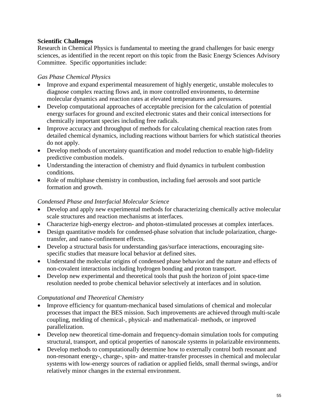## **Scientific Challenges**

Research in Chemical Physics is fundamental to meeting the grand challenges for basic energy sciences, as identified in the recent report on this topic from the Basic Energy Sciences Advisory Committee. Specific opportunities include:

# *Gas Phase Chemical Physics*

- Improve and expand experimental measurement of highly energetic, unstable molecules to diagnose complex reacting flows and, in more controlled environments, to determine molecular dynamics and reaction rates at elevated temperatures and pressures.
- Develop computational approaches of acceptable precision for the calculation of potential energy surfaces for ground and excited electronic states and their conical intersections for chemically important species including free radicals.
- Improve accuracy and throughput of methods for calculating chemical reaction rates from detailed chemical dynamics, including reactions without barriers for which statistical theories do not apply.
- Develop methods of uncertainty quantification and model reduction to enable high-fidelity predictive combustion models.
- Understanding the interaction of chemistry and fluid dynamics in turbulent combustion conditions.
- Role of multiphase chemistry in combustion, including fuel aerosols and soot particle formation and growth.

## *Condensed Phase and Interfacial Molecular Science*

- Develop and apply new experimental methods for characterizing chemically active molecular scale structures and reaction mechanisms at interfaces.
- Characterize high-energy electron- and photon-stimulated processes at complex interfaces.
- Design quantitative models for condensed-phase solvation that include polarization, chargetransfer, and nano-confinement effects.
- Develop a structural basis for understanding gas/surface interactions, encouraging sitespecific studies that measure local behavior at defined sites.
- Understand the molecular origins of condensed phase behavior and the nature and effects of non-covalent interactions including hydrogen bonding and proton transport.
- Develop new experimental and theoretical tools that push the horizon of joint space-time resolution needed to probe chemical behavior selectively at interfaces and in solution.

# *Computational and Theoretical Chemistry*

- Improve efficiency for quantum-mechanical based simulations of chemical and molecular processes that impact the BES mission. Such improvements are achieved through multi-scale coupling, melding of chemical-, physical- and mathematical- methods, or improved parallelization.
- Develop new theoretical time-domain and frequency-domain simulation tools for computing structural, transport, and optical properties of nanoscale systems in polarizable environments.
- Develop methods to computationally determine how to externally control both resonant and non-resonant energy-, charge-, spin- and matter-transfer processes in chemical and molecular systems with low-energy sources of radiation or applied fields, small thermal swings, and/or relatively minor changes in the external environment.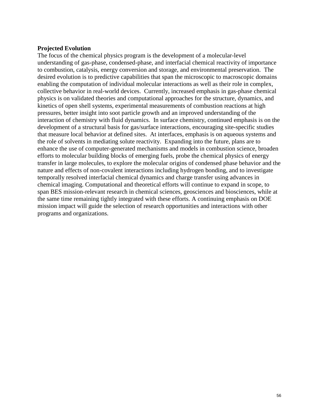#### **Projected Evolution**

The focus of the chemical physics program is the development of a molecular-level understanding of gas-phase, condensed-phase, and interfacial chemical reactivity of importance to combustion, catalysis, energy conversion and storage, and environmental preservation. The desired evolution is to predictive capabilities that span the microscopic to macroscopic domains enabling the computation of individual molecular interactions as well as their role in complex, collective behavior in real-world devices. Currently, increased emphasis in gas-phase chemical physics is on validated theories and computational approaches for the structure, dynamics, and kinetics of open shell systems, experimental measurements of combustion reactions at high pressures, better insight into soot particle growth and an improved understanding of the interaction of chemistry with fluid dynamics. In surface chemistry, continued emphasis is on the development of a structural basis for gas/surface interactions, encouraging site-specific studies that measure local behavior at defined sites. At interfaces, emphasis is on aqueous systems and the role of solvents in mediating solute reactivity. Expanding into the future, plans are to enhance the use of computer-generated mechanisms and models in combustion science, broaden efforts to molecular building blocks of emerging fuels, probe the chemical physics of energy transfer in large molecules, to explore the molecular origins of condensed phase behavior and the nature and effects of non-covalent interactions including hydrogen bonding, and to investigate temporally resolved interfacial chemical dynamics and charge transfer using advances in chemical imaging. Computational and theoretical efforts will continue to expand in scope, to span BES mission-relevant research in chemical sciences, geosciences and biosciences, while at the same time remaining tightly integrated with these efforts. A continuing emphasis on DOE mission impact will guide the selection of research opportunities and interactions with other programs and organizations.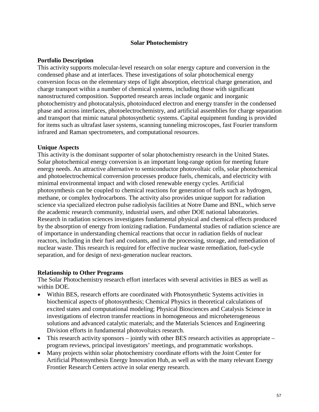### **Solar Photochemistry**

#### **Portfolio Description**

This activity supports molecular-level research on solar energy capture and conversion in the condensed phase and at interfaces. These investigations of solar photochemical energy conversion focus on the elementary steps of light absorption, electrical charge generation, and charge transport within a number of chemical systems, including those with significant nanostructured composition. Supported research areas include organic and inorganic photochemistry and photocatalysis, photoinduced electron and energy transfer in the condensed phase and across interfaces, photoelectrochemistry, and artificial assemblies for charge separation and transport that mimic natural photosynthetic systems. Capital equipment funding is provided for items such as ultrafast laser systems, scanning tunneling microscopes, fast Fourier transform infrared and Raman spectrometers, and computational resources.

#### **Unique Aspects**

This activity is the dominant supporter of solar photochemistry research in the United States. Solar photochemical energy conversion is an important long-range option for meeting future energy needs. An attractive alternative to semiconductor photovoltaic cells, solar photochemical and photoelectrochemical conversion processes produce fuels, chemicals, and electricity with minimal environmental impact and with closed renewable energy cycles. Artificial photosynthesis can be coupled to chemical reactions for generation of fuels such as hydrogen, methane, or complex hydrocarbons. The activity also provides unique support for radiation science via specialized electron pulse radiolysis facilities at Notre Dame and BNL, which serve the academic research community, industrial users, and other DOE national laboratories. Research in radiation sciences investigates fundamental physical and chemical effects produced by the absorption of energy from ionizing radiation. Fundamental studies of radiation science are of importance in understanding chemical reactions that occur in radiation fields of nuclear reactors, including in their fuel and coolants, and in the processing, storage, and remediation of nuclear waste. This research is required for effective nuclear waste remediation, fuel-cycle separation, and for design of next-generation nuclear reactors.

#### **Relationship to Other Programs**

The Solar Photochemistry research effort interfaces with several activities in BES as well as within DOE.

- Within BES, research efforts are coordinated with Photosynthetic Systems activities in biochemical aspects of photosynthesis; Chemical Physics in theoretical calculations of excited states and computational modeling; Physical Biosciences and Catalysis Science in investigations of electron transfer reactions in homogeneous and microheterogeneous solutions and advanced catalytic materials; and the Materials Sciences and Engineering Division efforts in fundamental photovoltaics research.
- This research activity sponsors jointly with other BES research activities as appropriate program reviews, principal investigators' meetings, and programmatic workshops.
- Many projects within solar photochemistry coordinate efforts with the Joint Center for Artificial Photosynthesis Energy Innovation Hub, as well as with the many relevant Energy Frontier Research Centers active in solar energy research.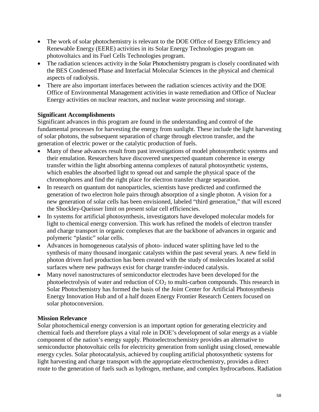- The work of solar photochemistry is relevant to the DOE Office of Energy Efficiency and Renewable Energy (EERE) activities in its Solar Energy Technologies program on photovoltaics and its Fuel Cells Technologies program.
- The radiation sciences activity in the Solar Photochemistry program is closely coordinated with the BES Condensed Phase and Interfacial Molecular Sciences in the physical and chemical aspects of radiolysis.
- There are also important interfaces between the radiation sciences activity and the DOE Office of Environmental Management activities in waste remediation and Office of Nuclear Energy activities on nuclear reactors, and nuclear waste processing and storage.

## **Significant Accomplishments**

Significant advances in this program are found in the understanding and control of the fundamental processes for harvesting the energy from sunlight. These include the light harvesting of solar photons, the subsequent separation of charge through electron transfer, and the generation of electric power or the catalytic production of fuels.

- Many of these advances result from past investigations of model photosynthetic systems and their emulation. Researchers have discovered unexpected quantum coherence in energy transfer within the light absorbing antenna complexes of natural photosynthetic systems, which enables the absorbed light to spread out and sample the physical space of the chromophores and find the right place for electron transfer charge separation.
- In research on quantum dot nanoparticles, scientists have predicted and confirmed the generation of two electron hole pairs through absorption of a single photon. A vision for a new generation of solar cells has been envisioned, labeled "third generation," that will exceed the Shockley-Queisser limit on present solar cell efficiencies.
- In systems for artificial photosynthesis, investigators have developed molecular models for light to chemical energy conversion. This work has refined the models of electron transfer and charge transport in organic complexes that are the backbone of advances in organic and polymeric "plastic" solar cells.
- Advances in homogeneous catalysis of photo- induced water splitting have led to the synthesis of many thousand inorganic catalysts within the past several years. A new field in photon driven fuel production has been created with the study of molecules located at solid surfaces where new pathways exist for charge transfer-induced catalysis.
- Many novel nanostructures of semiconductor electrodes have been developed for the photoelectrolysis of water and reduction of  $CO<sub>2</sub>$  to multi-carbon compounds. This research in Solar Photochemistry has formed the basis of the Joint Center for Artificial Photosynthesis Energy Innovation Hub and of a half dozen Energy Frontier Research Centers focused on solar photoconversion.

## **Mission Relevance**

Solar photochemical energy conversion is an important option for generating electricity and chemical fuels and therefore plays a vital role in DOE's development of solar energy as a viable component of the nation's energy supply. Photoelectrochemistry provides an alternative to semiconductor photovoltaic cells for electricity generation from sunlight using closed, renewable energy cycles. Solar photocatalysis, achieved by coupling artificial photosynthetic systems for light harvesting and charge transport with the appropriate electrochemistry, provides a direct route to the generation of fuels such as hydrogen, methane, and complex hydrocarbons. Radiation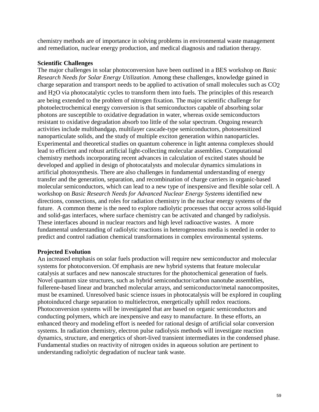chemistry methods are of importance in solving problems in environmental waste management and remediation, nuclear energy production, and medical diagnosis and radiation therapy.

## **Scientific Challenges**

The major challenges in solar photoconversion have been outlined in a BES workshop on *Basic Research Needs for Solar Energy Utilization*. Among these challenges, knowledge gained in charge separation and transport needs to be applied to activation of small molecules such as CO2 and H2O via photocatalytic cycles to transform them into fuels. The principles of this research are being extended to the problem of nitrogen fixation. The major scientific challenge for photoelectrochemical energy conversion is that semiconductors capable of absorbing solar photons are susceptible to oxidative degradation in water, whereas oxide semiconductors resistant to oxidative degradation absorb too little of the solar spectrum. Ongoing research activities include multibandgap, multilayer cascade-type semiconductors, photosensitized nanoparticulate solids, and the study of multiple exciton generation within nanoparticles. Experimental and theoretical studies on quantum coherence in light antenna complexes should lead to efficient and robust artificial light-collecting molecular assemblies. Computational chemistry methods incorporating recent advances in calculation of excited states should be developed and applied in design of photocatalysts and molecular dynamics simulations in artificial photosynthesis. There are also challenges in fundamental understanding of energy transfer and the generation, separation, and recombination of charge carriers in organic-based molecular semiconductors, which can lead to a new type of inexpensive and flexible solar cell. A workshop on *Basic Research Needs for Advanced Nuclear Energy Systems* identified new directions, connections, and roles for radiation chemistry in the nuclear energy systems of the future. A common theme is the need to explore radiolytic processes that occur across solid-liquid and solid-gas interfaces, where surface chemistry can be activated and changed by radiolysis. These interfaces abound in nuclear reactors and high level radioactive wastes. A more fundamental understanding of radiolytic reactions in heterogeneous media is needed in order to predict and control radiation chemical transformations in complex environmental systems.

## **Projected Evolution**

An increased emphasis on solar fuels production will require new semiconductor and molecular systems for photoconversion. Of emphasis are new hybrid systems that feature molecular catalysis at surfaces and new nanoscale structures for the photochemical generation of fuels. Novel quantum size structures, such as hybrid semiconductor/carbon nanotube assemblies, fullerene-based linear and branched molecular arrays, and semiconductor/metal nanocomposites, must be examined. Unresolved basic science issues in photocatalysis will be explored in coupling photoinduced charge separation to multielectron, energetically uphill redox reactions. Photoconversion systems will be investigated that are based on organic semiconductors and conducting polymers, which are inexpensive and easy to manufacture. In these efforts, an enhanced theory and modeling effort is needed for rational design of artificial solar conversion systems. In radiation chemistry, electron pulse radiolysis methods will investigate reaction dynamics, structure, and energetics of short-lived transient intermediates in the condensed phase. Fundamental studies on reactivity of nitrogen oxides in aqueous solution are pertinent to understanding radiolytic degradation of nuclear tank waste.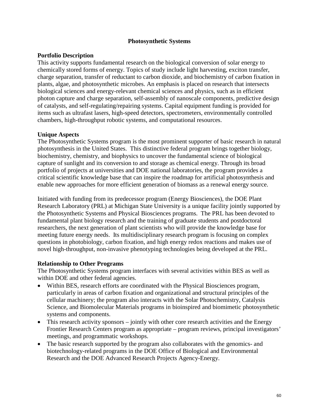### **Photosynthetic Systems**

### **Portfolio Description**

This activity supports fundamental research on the biological conversion of solar energy to chemically stored forms of energy. Topics of study include light harvesting, exciton transfer, charge separation, transfer of reductant to carbon dioxide, and biochemistry of carbon fixation in plants, algae, and photosynthetic microbes. An emphasis is placed on research that intersects biological sciences and energy-relevant chemical sciences and physics, such as in efficient photon capture and charge separation, self-assembly of nanoscale components, predictive design of catalysts, and self-regulating/repairing systems. Capital equipment funding is provided for items such as ultrafast lasers, high-speed detectors, spectrometers, environmentally controlled chambers, high-throughput robotic systems, and computational resources.

### **Unique Aspects**

The Photosynthetic Systems program is the most prominent supporter of basic research in natural photosynthesis in the United States. This distinctive federal program brings together biology, biochemistry, chemistry, and biophysics to uncover the fundamental science of biological capture of sunlight and its conversion to and storage as chemical energy. Through its broad portfolio of projects at universities and DOE national laboratories, the program provides a critical scientific knowledge base that can inspire the roadmap for artificial photosynthesis and enable new approaches for more efficient generation of biomass as a renewal energy source.

Initiated with funding from its predecessor program (Energy Biosciences), the DOE Plant Research Laboratory (PRL) at Michigan State University is a unique facility jointly supported by the Photosynthetic Systems and Physical Biosciences programs. The PRL has been devoted to fundamental plant biology research and the training of graduate students and postdoctoral researchers, the next generation of plant scientists who will provide the knowledge base for meeting future energy needs. Its multidisciplinary research program is focusing on complex questions in photobiology, carbon fixation, and high energy redox reactions and makes use of novel high-throughput, non-invasive phenotyping technologies being developed at the PRL.

## **Relationship to Other Programs**

The Photosynthetic Systems program interfaces with several activities within BES as well as within DOE and other federal agencies.

- Within BES, research efforts are coordinated with the Physical Biosciences program, particularly in areas of carbon fixation and organizational and structural principles of the cellular machinery; the program also interacts with the Solar Photochemistry, Catalysis Science, and Biomolecular Materials programs in bioinspired and biomimetic photosynthetic systems and components.
- This research activity sponsors jointly with other core research activities and the Energy Frontier Research Centers program as appropriate – program reviews, principal investigators' meetings, and programmatic workshops.
- The basic research supported by the program also collaborates with the genomics- and biotechnology-related programs in the DOE Office of Biological and Environmental Research and the DOE Advanced Research Projects Agency-Energy.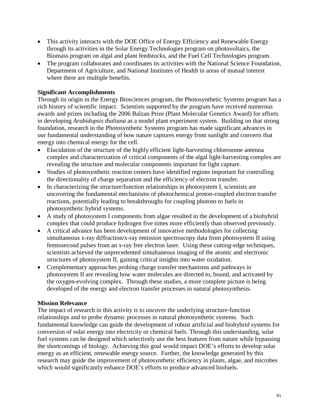- This activity interacts with the DOE Office of Energy Efficiency and Renewable Energy through its activities in the Solar Energy Technologies program on photovoltaics, the Biomass program on algal and plant feedstocks, and the Fuel Cell Technologies program.
- The program collaborates and coordinates its activities with the National Science Foundation, Department of Agriculture, and National Institutes of Health in areas of mutual interest where there are multiple benefits.

## **Significant Accomplishments**

Through its origin in the Energy Biosciences program, the Photosynthetic Systems program has a rich history of scientific impact. Scientists supported by the program have received numerous awards and prizes including the 2006 Balzan Prize (Plant Molecular Genetics Award) for efforts in developing *Arabidopsis thaliana* as a model plant experiment system. Building on that strong foundation, research in the Photosynthetic Systems program has made significant advances in our fundamental understanding of how nature captures energy from sunlight and converts that energy into chemical energy for the cell.

- Elucidation of the structure of the highly efficient light-harvesting chlorosome antenna complex and characterization of critical components of the algal light-harvesting complex are revealing the structure and molecular components important for light capture.
- Studies of photosynthetic reaction centers have identified regions important for controlling the directionality of charge separation and the efficiency of electron transfer.
- In characterizing the structure/function relationships in photosystem I, scientists are uncovering the fundamental mechanisms of photochemical proton-coupled electron transfer reactions, potentially leading to breakthroughs for coupling photons to fuels in photosynthetic hybrid systems.
- A study of photosystem I components from algae resulted in the development of a biohybrid complex that could produce hydrogen five times more efficiently than observed previously.
- A critical advance has been development of innovative methodologies for collecting simultaneous x-ray diffraction/x-ray emission spectroscopy data from photosystem II using femtosecond pulses from an x-ray free electron laser. Using these cutting-edge techniques, scientists achieved the unprecedented simultaneous imaging of the atomic and electronic structures of photosystem II, gaining critical insights into water oxidation.
- Complementary approaches probing charge transfer mechanisms and pathways in photosystem II are revealing how water molecules are directed to, bound, and activated by the oxygen-evolving complex. Through these studies, a more complete picture is being developed of the energy and electron transfer processes in natural photosynthesis.

## **Mission Relevance**

The impact of research in this activity is to uncover the underlying structure-function relationships and to probe dynamic processes in natural photosynthetic systems. Such fundamental knowledge can guide the development of robust artificial and biohybrid systems for conversion of solar energy into electricity or chemical fuels. Through this understanding, solar fuel systems can be designed which selectively use the best features from nature while bypassing the shortcomings of biology. Achieving this goal would impact DOE's efforts to develop solar energy as an efficient, renewable energy source. Further, the knowledge generated by this research may guide the improvement of photosynthetic efficiency in plants, algae, and microbes which would significantly enhance DOE's efforts to produce advanced biofuels.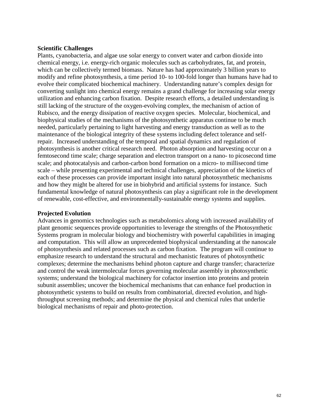#### **Scientific Challenges**

Plants, cyanobacteria, and algae use solar energy to convert water and carbon dioxide into chemical energy, i.e. energy-rich organic molecules such as carbohydrates, fat, and protein, which can be collectively termed biomass. Nature has had approximately 3 billion years to modify and refine photosynthesis, a time period 10- to 100-fold longer than humans have had to evolve their complicated biochemical machinery. Understanding nature's complex design for converting sunlight into chemical energy remains a grand challenge for increasing solar energy utilization and enhancing carbon fixation. Despite research efforts, a detailed understanding is still lacking of the structure of the oxygen-evolving complex, the mechanism of action of Rubisco, and the energy dissipation of reactive oxygen species. Molecular, biochemical, and biophysical studies of the mechanisms of the photosynthetic apparatus continue to be much needed, particularly pertaining to light harvesting and energy transduction as well as to the maintenance of the biological integrity of these systems including defect tolerance and selfrepair. Increased understanding of the temporal and spatial dynamics and regulation of photosynthesis is another critical research need. Photon absorption and harvesting occur on a femtosecond time scale; charge separation and electron transport on a nano- to picosecond time scale; and photocatalysis and carbon-carbon bond formation on a micro- to millisecond time scale – while presenting experimental and technical challenges, appreciation of the kinetics of each of these processes can provide important insight into natural photosynthetic mechanisms and how they might be altered for use in biohybrid and artificial systems for instance. Such fundamental knowledge of natural photosynthesis can play a significant role in the development of renewable, cost-effective, and environmentally-sustainable energy systems and supplies.

#### **Projected Evolution**

Advances in genomics technologies such as metabolomics along with increased availability of plant genomic sequences provide opportunities to leverage the strengths of the Photosynthetic Systems program in molecular biology and biochemistry with powerful capabilities in imaging and computation. This will allow an unprecedented biophysical understanding at the nanoscale of photosynthesis and related processes such as carbon fixation. The program will continue to emphasize research to understand the structural and mechanistic features of photosynthetic complexes; determine the mechanisms behind photon capture and charge transfer; characterize and control the weak intermolecular forces governing molecular assembly in photosynthetic systems; understand the biological machinery for cofactor insertion into proteins and protein subunit assemblies; uncover the biochemical mechanisms that can enhance fuel production in photosynthetic systems to build on results from combinatorial, directed evolution, and highthroughput screening methods; and determine the physical and chemical rules that underlie biological mechanisms of repair and photo-protection.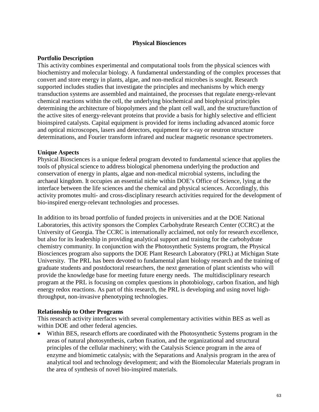### **Physical Biosciences**

#### **Portfolio Description**

This activity combines experimental and computational tools from the physical sciences with biochemistry and molecular biology. A fundamental understanding of the complex processes that convert and store energy in plants, algae, and non-medical microbes is sought. Research supported includes studies that investigate the principles and mechanisms by which energy transduction systems are assembled and maintained, the processes that regulate energy-relevant chemical reactions within the cell, the underlying biochemical and biophysical principles determining the architecture of biopolymers and the plant cell wall, and the structure/function of the active sites of energy-relevant proteins that provide a basis for highly selective and efficient bioinspired catalysts. Capital equipment is provided for items including advanced atomic force and optical microscopes, lasers and detectors, equipment for x-ray or neutron structure determinations, and Fourier transform infrared and nuclear magnetic resonance spectrometers.

#### **Unique Aspects**

Physical Biosciences is a unique federal program devoted to fundamental science that applies the tools of physical science to address biological phenomena underlying the production and conservation of energy in plants, algae and non-medical microbial systems, including the archaeal kingdom. It occupies an essential niche within DOE's Office of Science, lying at the interface between the life sciences and the chemical and physical sciences. Accordingly, this activity promotes multi- and cross-disciplinary research activities required for the development of bio-inspired energy-relevant technologies and processes.

In addition to its broad portfolio of funded projects in universities and at the DOE National Laboratories, this activity sponsors the Complex Carbohydrate Research Center (CCRC) at the University of Georgia. The CCRC is internationally acclaimed, not only for research excellence, but also for its leadership in providing analytical support and training for the carbohydrate chemistry community. In conjunction with the Photosynthetic Systems program, the Physical Biosciences program also supports the DOE Plant Research Laboratory (PRL) at Michigan State University. The PRL has been devoted to fundamental plant biology research and the training of graduate students and postdoctoral researchers, the next generation of plant scientists who will provide the knowledge base for meeting future energy needs. The multidisciplinary research program at the PRL is focusing on complex questions in photobiology, carbon fixation, and high energy redox reactions. As part of this research, the PRL is developing and using novel highthroughput, non-invasive phenotyping technologies.

#### **Relationship to Other Programs**

This research activity interfaces with several complementary activities within BES as well as within DOE and other federal agencies.

• Within BES, research efforts are coordinated with the Photosynthetic Systems program in the areas of natural photosynthesis, carbon fixation, and the organizational and structural principles of the cellular machinery; with the Catalysis Science program in the area of enzyme and biomimetic catalysis; with the Separations and Analysis program in the area of analytical tool and technology development; and with the Biomolecular Materials program in the area of synthesis of novel bio-inspired materials.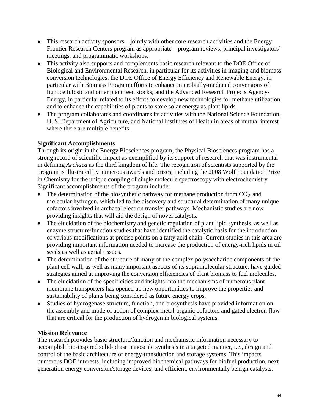- This research activity sponsors jointly with other core research activities and the Energy Frontier Research Centers program as appropriate – program reviews, principal investigators' meetings, and programmatic workshops.
- This activity also supports and complements basic research relevant to the DOE Office of Biological and Environmental Research, in particular for its activities in imaging and biomass conversion technologies; the DOE Office of Energy Efficiency and Renewable Energy, in particular with Biomass Program efforts to enhance microbially-mediated conversions of lignocellulosic and other plant feed stocks; and the Advanced Research Projects Agency-Energy, in particular related to its efforts to develop new technologies for methane utilization and to enhance the capabilities of plants to store solar energy as plant lipids.
- The program collaborates and coordinates its activities with the National Science Foundation, U. S. Department of Agriculture, and National Institutes of Health in areas of mutual interest where there are multiple benefits.

# **Significant Accomplishments**

Through its origin in the Energy Biosciences program, the Physical Biosciences program has a strong record of scientific impact as exemplified by its support of research that was instrumental in defining *Archaea* as the third kingdom of life. The recognition of scientists supported by the program is illustrated by numerous awards and prizes, including the 2008 Wolf Foundation Prize in Chemistry for the unique coupling of single molecule spectroscopy with electrochemistry. Significant accomplishments of the program include:

- The determination of the biosynthetic pathway for methane production from  $CO<sub>2</sub>$  and molecular hydrogen, which led to the discovery and structural determination of many unique cofactors involved in archaeal electron transfer pathways. Mechanistic studies are now providing insights that will aid the design of novel catalysts.
- The elucidation of the biochemistry and genetic regulation of plant lipid synthesis, as well as enzyme structure/function studies that have identified the catalytic basis for the introduction of various modifications at precise points on a fatty acid chain. Current studies in this area are providing important information needed to increase the production of energy-rich lipids in oil seeds as well as aerial tissues.
- The determination of the structure of many of the complex polysaccharide components of the plant cell wall, as well as many important aspects of its supramolecular structure, have guided strategies aimed at improving the conversion efficiencies of plant biomass to fuel molecules.
- The elucidation of the specificities and insights into the mechanisms of numerous plant membrane transporters has opened up new opportunities to improve the properties and sustainability of plants being considered as future energy crops.
- Studies of hydrogenase structure, function, and biosynthesis have provided information on the assembly and mode of action of complex metal-organic cofactors and gated electron flow that are critical for the production of hydrogen in biological systems.

## **Mission Relevance**

The research provides basic structure/function and mechanistic information necessary to accomplish bio-inspired solid-phase nanoscale synthesis in a targeted manner, i.e., design and control of the basic architecture of energy-transduction and storage systems. This impacts numerous DOE interests, including improved biochemical pathways for biofuel production, next generation energy conversion/storage devices, and efficient, environmentally benign catalysts.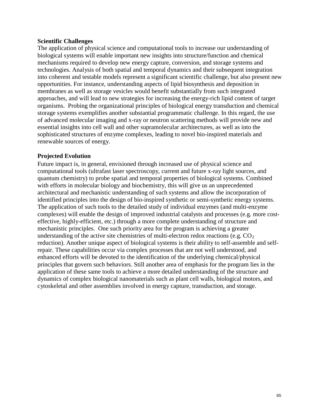### **Scientific Challenges**

The application of physical science and computational tools to increase our understanding of biological systems will enable important new insights into structure/function and chemical mechanisms required to develop new energy capture, conversion, and storage systems and technologies. Analysis of both spatial and temporal dynamics and their subsequent integration into coherent and testable models represent a significant scientific challenge, but also present new opportunities. For instance, understanding aspects of lipid biosynthesis and deposition in membranes as well as storage vesicles would benefit substantially from such integrated approaches, and will lead to new strategies for increasing the energy-rich lipid content of target organisms. Probing the organizational principles of biological energy transduction and chemical storage systems exemplifies another substantial programmatic challenge. In this regard, the use of advanced molecular imaging and x-ray or neutron scattering methods will provide new and essential insights into cell wall and other supramolecular architectures, as well as into the sophisticated structures of enzyme complexes, leading to novel bio-inspired materials and renewable sources of energy.

## **Projected Evolution**

Future impact is, in general, envisioned through increased use of physical science and computational tools (ultrafast laser spectroscopy, current and future x-ray light sources, and quantum chemistry) to probe spatial and temporal properties of biological systems. Combined with efforts in molecular biology and biochemistry, this will give us an unprecedented architectural and mechanistic understanding of such systems and allow the incorporation of identified principles into the design of bio-inspired synthetic or semi-synthetic energy systems. The application of such tools to the detailed study of individual enzymes (and multi-enzyme complexes) will enable the design of improved industrial catalysts and processes (e.g. more costeffective, highly-efficient, etc.) through a more complete understanding of structure and mechanistic principles. One such priority area for the program is achieving a greater understanding of the active site chemistries of multi-electron redox reactions (e.g.  $CO<sub>2</sub>$ ) reduction). Another unique aspect of biological systems is their ability to self-assemble and selfrepair. These capabilities occur via complex processes that are not well understood, and enhanced efforts will be devoted to the identification of the underlying chemical/physical principles that govern such behaviors. Still another area of emphasis for the program lies in the application of these same tools to achieve a more detailed understanding of the structure and dynamics of complex biological nanomaterials such as plant cell walls, biological motors, and cytoskeletal and other assemblies involved in energy capture, transduction, and storage.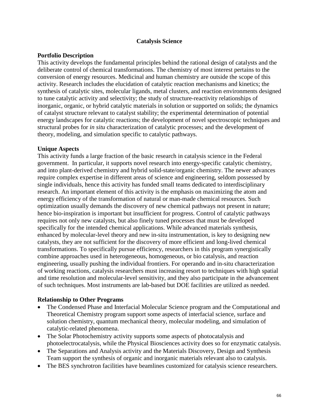### **Catalysis Science**

### **Portfolio Description**

This activity develops the fundamental principles behind the rational design of catalysts and the deliberate control of chemical transformations. The chemistry of most interest pertains to the conversion of energy resources. Medicinal and human chemistry are outside the scope of this activity. Research includes the elucidation of catalytic reaction mechanisms and kinetics; the synthesis of catalytic sites, molecular ligands, metal clusters, and reaction environments designed to tune catalytic activity and selectivity; the study of structure-reactivity relationships of inorganic, organic, or hybrid catalytic materials in solution or supported on solids; the dynamics of catalyst structure relevant to catalyst stability; the experimental determination of potential energy landscapes for catalytic reactions; the development of novel spectroscopic techniques and structural probes for *in situ* characterization of catalytic processes; and the development of theory, modeling, and simulation specific to catalytic pathways.

### **Unique Aspects**

This activity funds a large fraction of the basic research in catalysis science in the Federal government. In particular, it supports novel research into energy-specific catalytic chemistry, and into plant-derived chemistry and hybrid solid-state/organic chemistry. The newer advances require complex expertise in different areas of science and engineering, seldom possessed by single individuals, hence this activity has funded small teams dedicated to interdisciplinary research. An important element of this activity is the emphasis on maximizing the atom and energy efficiency of the transformation of natural or man-made chemical resources. Such optimization usually demands the discovery of new chemical pathways not present in nature; hence bio-inspiration is important but insufficient for progress. Control of catalytic pathways requires not only new catalysts, but also finely tuned processes that must be developed specifically for the intended chemical applications. While advanced materials synthesis, enhanced by molecular-level theory and new in-situ instrumentation, is key to designing new catalysts, they are not sufficient for the discovery of more efficient and long-lived chemical transformations. To specifically pursue efficiency, researchers in this program synergistically combine approaches used in heterogeneous, homogeneous, or bio catalysis, and reaction engineering, usually pushing the individual frontiers. For operando and in-situ characterization of working reactions, catalysis researchers must increasing resort to techniques with high spatial and time resolution and molecular-level sensitivity, and they also participate in the advancement of such techniques. Most instruments are lab-based but DOE facilities are utilized as needed.

#### **Relationship to Other Programs**

- The Condensed Phase and Interfacial Molecular Science program and the Computational and Theoretical Chemistry program support some aspects of interfacial science, surface and solution chemistry, quantum mechanical theory, molecular modeling, and simulation of catalytic-related phenomena.
- The Solar Photochemistry activity supports some aspects of photocatalysis and photoelectrocatalysis, while the Physical Biosciences activity does so for enzymatic catalysis.
- The Separations and Analysis activity and the Materials Discovery, Design and Synthesis Team support the synthesis of organic and inorganic materials relevant also to catalysis.
- The BES synchrotron facilities have beamlines customized for catalysis science researchers.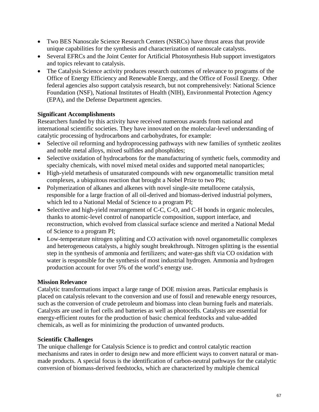- Two BES Nanoscale Science Research Centers (NSRCs) have thrust areas that provide unique capabilities for the synthesis and characterization of nanoscale catalysts.
- Several EFRCs and the Joint Center for Artificial Photosynthesis Hub support investigators and topics relevant to catalysis.
- The Catalysis Science activity produces research outcomes of relevance to programs of the Office of Energy Efficiency and Renewable Energy, and the Office of Fossil Energy. Other federal agencies also support catalysis research, but not comprehensively: National Science Foundation (NSF), National Institutes of Health (NIH), Environmental Protection Agency (EPA), and the Defense Department agencies.

### **Significant Accomplishments**

Researchers funded by this activity have received numerous awards from national and international scientific societies. They have innovated on the molecular-level understanding of catalytic processing of hydrocarbons and carbohydrates, for example:

- Selective oil reforming and hydroprocessing pathways with new families of synthetic zeolites and noble metal alloys, mixed sulfides and phosphides;
- Selective oxidation of hydrocarbons for the manufacturing of synthetic fuels, commodity and specialty chemicals, with novel mixed metal oxides and supported metal nanoparticles;
- High-yield metathesis of unsaturated compounds with new organometallic transition metal complexes, a ubiquitous reaction that brought a Nobel Prize to two PIs;
- Polymerization of alkanes and alkenes with novel single-site metallocene catalysis, responsible for a large fraction of all oil-derived and biomass-derived industrial polymers, which led to a National Medal of Science to a program PI;
- Selective and high-yield rearrangement of C-C, C-O, and C-H bonds in organic molecules, thanks to atomic-level control of nanoparticle composition, support interface, and reconstruction, which evolved from classical surface science and merited a National Medal of Science to a program PI;
- Low-temperature nitrogen splitting and CO activation with novel organometallic complexes and heterogeneous catalysts, a highly sought breakthrough. Nitrogen splitting is the essential step in the synthesis of ammonia and fertilizers; and water-gas shift via CO oxidation with water is responsible for the synthesis of most industrial hydrogen. Ammonia and hydrogen production account for over 5% of the world's energy use.

## **Mission Relevance**

Catalytic transformations impact a large range of DOE mission areas. Particular emphasis is placed on catalysis relevant to the conversion and use of fossil and renewable energy resources, such as the conversion of crude petroleum and biomass into clean burning fuels and materials. Catalysts are used in fuel cells and batteries as well as photocells. Catalysts are essential for energy-efficient routes for the production of basic chemical feedstocks and value-added chemicals, as well as for minimizing the production of unwanted products.

## **Scientific Challenges**

The unique challenge for Catalysis Science is to predict and control catalytic reaction mechanisms and rates in order to design new and more efficient ways to convert natural or manmade products. A special focus is the identification of carbon-neutral pathways for the catalytic conversion of biomass-derived feedstocks, which are characterized by multiple chemical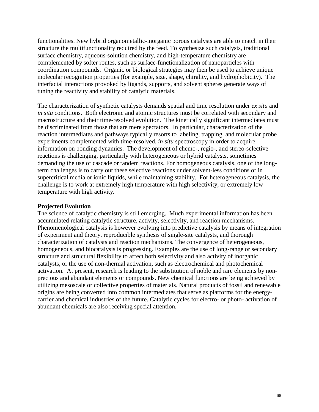functionalities. New hybrid organometallic-inorganic porous catalysts are able to match in their structure the multifunctionality required by the feed. To synthesize such catalysts, traditional surface chemistry, aqueous-solution chemistry, and high-temperature chemistry are complemented by softer routes, such as surface-functionalization of nanoparticles with coordination compounds. Organic or biological strategies may then be used to achieve unique molecular recognition properties (for example, size, shape, chirality, and hydrophobicity). The interfacial interactions provoked by ligands, supports, and solvent spheres generate ways of tuning the reactivity and stability of catalytic materials.

The characterization of synthetic catalysts demands spatial and time resolution under *ex situ* and *in situ* conditions. Both electronic and atomic structures must be correlated with secondary and macrostructure and their time-resolved evolution. The kinetically significant intermediates must be discriminated from those that are mere spectators. In particular, characterization of the reaction intermediates and pathways typically resorts to labeling, trapping, and molecular probe experiments complemented with time-resolved, *in situ* spectroscopy in order to acquire information on bonding dynamics. The development of chemo-, regio-, and stereo-selective reactions is challenging, particularly with heterogeneous or hybrid catalysts, sometimes demanding the use of cascade or tandem reactions. For homogeneous catalysis, one of the longterm challenges is to carry out these selective reactions under solvent-less conditions or in supercritical media or ionic liquids, while maintaining stability. For heterogeneous catalysis, the challenge is to work at extremely high temperature with high selectivity, or extremely low temperature with high activity.

#### **Projected Evolution**

The science of catalytic chemistry is still emerging. Much experimental information has been accumulated relating catalytic structure, activity, selectivity, and reaction mechanisms. Phenomenological catalysis is however evolving into predictive catalysis by means of integration of experiment and theory, reproducible synthesis of single-site catalysts, and thorough characterization of catalysts and reaction mechanisms. The convergence of heterogeneous, homogeneous, and biocatalysis is progressing. Examples are the use of long-range or secondary structure and structural flexibility to affect both selectivity and also activity of inorganic catalysts, or the use of non-thermal activation, such as electrochemical and photochemical activation. At present, research is leading to the substitution of noble and rare elements by nonprecious and abundant elements or compounds. New chemical functions are being achieved by utilizing mesoscale or collective properties of materials. Natural products of fossil and renewable origins are being converted into common intermediates that serve as platforms for the energycarrier and chemical industries of the future. Catalytic cycles for electro- or photo- activation of abundant chemicals are also receiving special attention.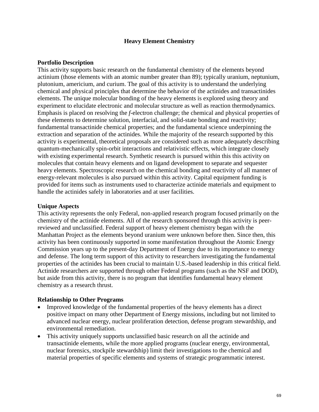### **Heavy Element Chemistry**

### **Portfolio Description**

This activity supports basic research on the fundamental chemistry of the elements beyond actinium (those elements with an atomic number greater than 89); typically uranium, neptunium, plutonium, americium, and curium. The goal of this activity is to understand the underlying chemical and physical principles that determine the behavior of the actinides and transactinides elements. The unique molecular bonding of the heavy elements is explored using theory and experiment to elucidate electronic and molecular structure as well as reaction thermodynamics. Emphasis is placed on resolving the *f*-electron challenge; the chemical and physical properties of these elements to determine solution, interfacial, and solid-state bonding and reactivity; fundamental transactinide chemical properties; and the fundamental science underpinning the extraction and separation of the actinides. While the majority of the research supported by this activity is experimental, theoretical proposals are considered such as more adequately describing quantum-mechanically spin-orbit interactions and relativistic effects, which integrate closely with existing experimental research. Synthetic research is pursued within this this activity on molecules that contain heavy elements and on ligand development to separate and sequester heavy elements. Spectroscopic research on the chemical bonding and reactivity of all manner of energy-relevant molecules is also pursued within this activity. Capital equipment funding is provided for items such as instruments used to characterize actinide materials and equipment to handle the actinides safely in laboratories and at user facilities.

#### **Unique Aspects**

This activity represents the only Federal, non-applied research program focused primarily on the chemistry of the actinide elements. All of the research sponsored through this activity is peerreviewed and unclassified. Federal support of heavy element chemistry began with the Manhattan Project as the elements beyond uranium were unknown before then. Since then, this activity has been continuously supported in some manifestation throughout the Atomic Energy Commission years up to the present-day Department of Energy due to its importance to energy and defense. The long term support of this activity to researchers investigating the fundamental properties of the actinides has been crucial to maintain U.S.-based leadership in this critical field. Actinide researchers are supported through other Federal programs (such as the NSF and DOD), but aside from this activity, there is no program that identifies fundamental heavy element chemistry as a research thrust.

#### **Relationship to Other Programs**

- Improved knowledge of the fundamental properties of the heavy elements has a direct positive impact on many other Department of Energy missions, including but not limited to advanced nuclear energy, nuclear proliferation detection, defense program stewardship, and environmental remediation.
- This activity uniquely supports unclassified basic research on all the actinide and transactinide elements, while the more applied programs (nuclear energy, environmental, nuclear forensics, stockpile stewardship) limit their investigations to the chemical and material properties of specific elements and systems of strategic programmatic interest.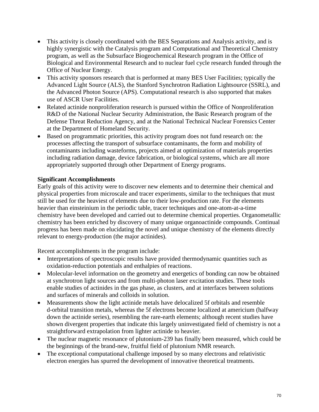- This activity is closely coordinated with the BES Separations and Analysis activity, and is highly synergistic with the Catalysis program and Computational and Theoretical Chemistry program, as well as the Subsurface Biogeochemical Research program in the Office of Biological and Environmental Research and to nuclear fuel cycle research funded through the Office of Nuclear Energy.
- This activity sponsors research that is performed at many BES User Facilities; typically the Advanced Light Source (ALS), the Stanford Synchrotron Radiation Lightsource (SSRL), and the Advanced Photon Source (APS). Computational research is also supported that makes use of ASCR User Facilities.
- Related actinide nonproliferation research is pursued within the Office of Nonproliferation R&D of the National Nuclear Security Administration, the Basic Research program of the Defense Threat Reduction Agency, and at the National Technical Nuclear Forensics Center at the Department of Homeland Security.
- Based on programmatic priorities, this activity program does not fund research on: the processes affecting the transport of subsurface contaminants, the form and mobility of contaminants including wasteforms, projects aimed at optimization of materials properties including radiation damage, device fabrication, or biological systems, which are all more appropriately supported through other Department of Energy programs.

## **Significant Accomplishments**

Early goals of this activity were to discover new elements and to determine their chemical and physical properties from microscale and tracer experiments, similar to the techniques that must still be used for the heaviest of elements due to their low-production rate. For the elements heavier than einsteinium in the periodic table, tracer techniques and one-atom-at-a-time chemistry have been developed and carried out to determine chemical properties. Organometallic chemistry has been enriched by discovery of many unique organoactinide compounds. Continual progress has been made on elucidating the novel and unique chemistry of the elements directly relevant to energy-production (the major actinides).

Recent accomplishments in the program include:

- Interpretations of spectroscopic results have provided thermodynamic quantities such as oxidation-reduction potentials and enthalpies of reactions.
- Molecular-level information on the geometry and energetics of bonding can now be obtained at synchrotron light sources and from multi-photon laser excitation studies. These tools enable studies of actinides in the gas phase, as clusters, and at interfaces between solutions and surfaces of minerals and colloids in solution.
- Measurements show the light actinide metals have delocalized 5f orbitals and resemble d-orbital transition metals, whereas the 5f electrons become localized at americium (halfway down the actinide series), resembling the rare-earth elements; although recent studies have shown divergent properties that indicate this largely uninvestigated field of chemistry is not a straightforward extrapolation from lighter actinide to heavier.
- The nuclear magnetic resonance of plutonium-239 has finally been measured, which could be the beginnings of the brand-new, fruitful field of plutonium NMR research.
- The exceptional computational challenge imposed by so many electrons and relativistic electron energies has spurred the development of innovative theoretical treatments.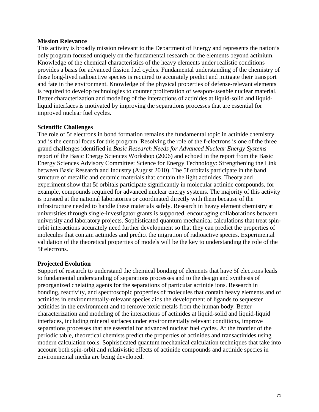#### **Mission Relevance**

This activity is broadly mission relevant to the Department of Energy and represents the nation's only program focused uniquely on the fundamental research on the elements beyond actinium. Knowledge of the chemical characteristics of the heavy elements under realistic conditions provides a basis for advanced fission fuel cycles. Fundamental understanding of the chemistry of these long-lived radioactive species is required to accurately predict and mitigate their transport and fate in the environment. Knowledge of the physical properties of defense-relevant elements is required to develop technologies to counter proliferation of weapon-useable nuclear material. Better characterization and modeling of the interactions of actinides at liquid-solid and liquidliquid interfaces is motivated by improving the separations processes that are essential for improved nuclear fuel cycles.

#### **Scientific Challenges**

The role of 5f electrons in bond formation remains the fundamental topic in actinide chemistry and is the central focus for this program. Resolving the role of the f-electrons is one of the three grand challenges identified in *Basic Research Needs for Advanced Nuclear Energy Systems*  report of the Basic Energy Sciences Workshop (2006) and echoed in the report from the Basic Energy Sciences Advisory Committee: Science for Energy Technology: Strengthening the Link between Basic Research and Industry (August 2010). The 5f orbitals participate in the band structure of metallic and ceramic materials that contain the light actinides. Theory and experiment show that 5f orbitals participate significantly in molecular actinide compounds, for example, compounds required for advanced nuclear energy systems. The majority of this activity is pursued at the national laboratories or coordinated directly with them because of the infrastructure needed to handle these materials safely. Research in heavy element chemistry at universities through single-investigator grants is supported, encouraging collaborations between university and laboratory projects. Sophisticated quantum mechanical calculations that treat spinorbit interactions accurately need further development so that they can predict the properties of molecules that contain actinides and predict the migration of radioactive species. Experimental validation of the theoretical properties of models will be the key to understanding the role of the 5f electrons.

#### **Projected Evolution**

Support of research to understand the chemical bonding of elements that have 5f electrons leads to fundamental understanding of separations processes and to the design and synthesis of preorganized chelating agents for the separations of particular actinide ions. Research in bonding, reactivity, and spectroscopic properties of molecules that contain heavy elements and of actinides in environmentally-relevant species aids the development of ligands to sequester actinides in the environment and to remove toxic metals from the human body. Better characterization and modeling of the interactions of actinides at liquid-solid and liquid-liquid interfaces, including mineral surfaces under environmentally relevant conditions, improve separations processes that are essential for advanced nuclear fuel cycles. At the frontier of the periodic table, theoretical chemists predict the properties of actinides and transactinides using modern calculation tools. Sophisticated quantum mechanical calculation techniques that take into account both spin-orbit and relativistic effects of actinide compounds and actinide species in environmental media are being developed.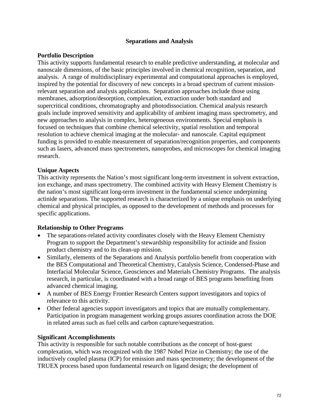### **Separations and Analysis**

## **Portfolio Description**

This activity supports fundamental research to enable predictive understanding, at molecular and nanoscale dimensions, of the basic principles involved in chemical recognition, separation, and analysis. A range of multidisciplinary experimental and computational approaches is employed, inspired by the potential for discovery of new concepts in a broad spectrum of current missionrelevant separation and analysis applications. Separation approaches include those using membranes, adsorption/desorption, complexation, extraction under both standard and supercritical conditions, chromatography and photodissociation. Chemical analysis research goals include improved sensitivity and applicability of ambient imaging mass spectrometry, and new approaches to analysis in complex, heterogeneous environments. Special emphasis is focused on techniques that combine chemical selectivity, spatial resolution and temporal resolution to achieve chemical imaging at the molecular- and nanoscale. Capital equipment funding is provided to enable measurement of separation/recognition properties, and components such as lasers, advanced mass spectrometers, nanoprobes, and microscopes for chemical imaging research.

### **Unique Aspects**

This activity represents the Nation's most significant long-term investment in solvent extraction, ion exchange, and mass spectrometry. The combined activity with Heavy Element Chemistry is the nation's most significant long-term investment in the fundamental science underpinning actinide separations. The supported research is characterized by a unique emphasis on underlying chemical and physical principles, as opposed to the development of methods and processes for specific applications.

## **Relationship to Other Programs**

- The separations-related activity coordinates closely with the Heavy Element Chemistry Program to support the Department's stewardship responsibility for actinide and fission product chemistry and to its clean-up mission.
- Similarly, elements of the Separations and Analysis portfolio benefit from cooperation with the BES Computational and Theoretical Chemistry, Catalysis Science, Condensed-Phase and Interfacial Molecular Science, Geosciences and Materials Chemistry Programs. The analysis research, in particular, is coordinated with a broad range of BES programs benefiting from advanced chemical imaging.
- A number of BES Energy Frontier Research Centers support investigators and topics of relevance to this activity.
- Other federal agencies support investigators and topics that are mutually complementary. Participation in program management working groups assures coordination across the DOE in related areas such as fuel cells and carbon capture/sequestration.

#### **Significant Accomplishments**

This activity is responsible for such notable contributions as the concept of host-guest complexation, which was recognized with the 1987 Nobel Prize in Chemistry; the use of the inductively coupled plasma (ICP) for emission and mass spectrometry; the development of the TRUEX process based upon fundamental research on ligand design; the development of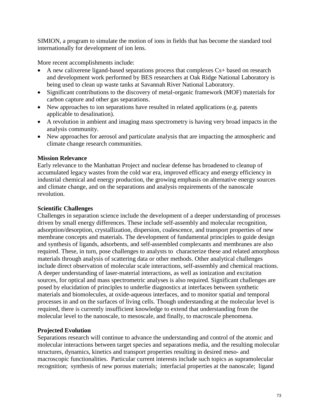SIMION, a program to simulate the motion of ions in fields that has become the standard tool internationally for development of ion lens.

More recent accomplishments include:

- A new calixerene ligand-based separations process that complexes Cs+ based on research and development work performed by BES researchers at Oak Ridge National Laboratory is being used to clean up waste tanks at Savannah River National Laboratory.
- Significant contributions to the discovery of metal-organic framework (MOF) materials for carbon capture and other gas separations.
- New approaches to ion separations have resulted in related applications (e.g. patents applicable to desalination).
- A revolution in ambient and imaging mass spectrometry is having very broad impacts in the analysis community.
- New approaches for aerosol and particulate analysis that are impacting the atmospheric and climate change research communities.

# **Mission Relevance**

Early relevance to the Manhattan Project and nuclear defense has broadened to cleanup of accumulated legacy wastes from the cold war era, improved efficacy and energy efficiency in industrial chemical and energy production, the growing emphasis on alternative energy sources and climate change, and on the separations and analysis requirements of the nanoscale revolution.

## **Scientific Challenges**

Challenges in separation science include the development of a deeper understanding of processes driven by small energy differences. These include self-assembly and molecular recognition, adsorption/desorption, crystallization, dispersion, coalescence, and transport properties of new membrane concepts and materials. The development of fundamental principles to guide design and synthesis of ligands, adsorbents, and self-assembled complexants and membranes are also required. These, in turn, pose challenges to analysts to characterize these and related amorphous materials through analysis of scattering data or other methods. Other analytical challenges include direct observation of molecular scale interactions, self-assembly and chemical reactions. A deeper understanding of laser-material interactions, as well as ionization and excitation sources, for optical and mass spectrometric analyses is also required. Significant challenges are posed by elucidation of principles to underlie diagnostics at interfaces between synthetic materials and biomolecules, at oxide-aqueous interfaces, and to monitor spatial and temporal processes in and on the surfaces of living cells. Though understanding at the molecular level is required, there is currently insufficient knowledge to extend that understanding from the molecular level to the nanoscale, to mesoscale, and finally, to macroscale phenomena.

# **Projected Evolution**

Separations research will continue to advance the understanding and control of the atomic and molecular interactions between target species and separations media, and the resulting molecular structures, dynamics, kinetics and transport properties resulting in desired meso- and macroscopic functionalities. Particular current interests include such topics as supramolecular recognition; synthesis of new porous materials; interfacial properties at the nanoscale; ligand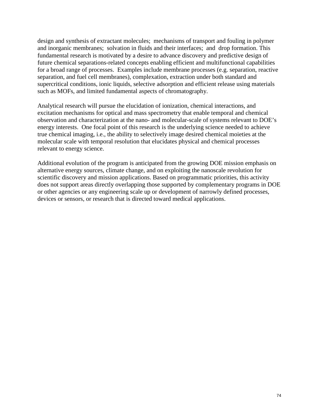design and synthesis of extractant molecules; mechanisms of transport and fouling in polymer and inorganic membranes; solvation in fluids and their interfaces; and drop formation. This fundamental research is motivated by a desire to advance discovery and predictive design of future chemical separations-related concepts enabling efficient and multifunctional capabilities for a broad range of processes. Examples include membrane processes (e.g. separation, reactive separation, and fuel cell membranes), complexation, extraction under both standard and supercritical conditions, ionic liquids, selective adsorption and efficient release using materials such as MOFs, and limited fundamental aspects of chromatography.

Analytical research will pursue the elucidation of ionization, chemical interactions, and excitation mechanisms for optical and mass spectrometry that enable temporal and chemical observation and characterization at the nano- and molecular-scale of systems relevant to DOE's energy interests. One focal point of this research is the underlying science needed to achieve true chemical imaging, i.e., the ability to selectively image desired chemical moieties at the molecular scale with temporal resolution that elucidates physical and chemical processes relevant to energy science.

Additional evolution of the program is anticipated from the growing DOE mission emphasis on alternative energy sources, climate change, and on exploiting the nanoscale revolution for scientific discovery and mission applications. Based on programmatic priorities, this activity does not support areas directly overlapping those supported by complementary programs in DOE or other agencies or any engineering scale up or development of narrowly defined processes, devices or sensors, or research that is directed toward medical applications.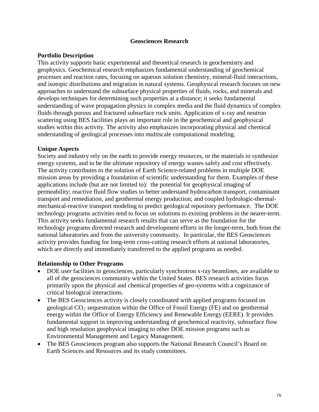### **Geosciences Research**

### **Portfolio Description**

This activity supports basic experimental and theoretical research in geochemistry and geophysics. Geochemical research emphasizes fundamental understanding of geochemical processes and reaction rates, focusing on aqueous solution chemistry, mineral-fluid interactions, and isotopic distributions and migration in natural systems. Geophysical research focuses on new approaches to understand the subsurface physical properties of fluids, rocks, and minerals and develops techniques for determining such properties at a distance; it seeks fundamental understanding of wave propagation physics in complex media and the fluid dynamics of complex fluids through porous and fractured subsurface rock units. Application of x-ray and neutron scattering using BES facilities plays an important role in the geochemical and geophysical studies within this activity. The activity also emphasizes incorporating physical and chemical understanding of geological processes into multiscale computational modeling.

## **Unique Aspects**

Society and industry rely on the earth to provide energy resources, or the materials to synthesize energy systems, and to be the ultimate repository of energy wastes safely and cost effectively. The activity contributes to the solution of Earth Science-related problems in multiple DOE mission areas by providing a foundation of scientific understanding for them. Examples of these applications include (but are not limited to): the potential for geophysical imaging of permeability; reactive fluid flow studies to better understand hydrocarbon transport, contaminant transport and remediation, and geothermal energy production; and coupled hydrologic-thermalmechanical-reactive transport modeling to predict geological repository performance. The DOE technology programs activities tend to focus on solutions to existing problems in the nearer-term. This activity seeks fundamental research results that can serve as the foundation for the technology programs directed research and development efforts in the longer-term, both from the national laboratories and from the university community. In particular, the BES Geosciences activity provides funding for long-term cross-cutting research efforts at national laboratories, which are directly and immediately transferred to the applied programs as needed.

### **Relationship to Other Programs**

- DOE user facilities in geosciences, particularly synchrotron x-ray beamlines, are available to all of the geosciences community within the United States. BES research activities focus primarily upon the physical and chemical properties of geo-systems with a cognizance of critical biological interactions.
- The BES Geosciences activity is closely coordinated with applied programs focused on geological  $CO<sub>2</sub>$  sequestration within the Office of Fossil Energy (FE) and on geothermal energy within the Office of Energy Efficiency and Renewable Energy (EERE). It provides fundamental support in improving understanding of geochemical reactivity, subsurface flow and high resolution geophysical imaging to other DOE mission programs such as Environmental Management and Legacy Management.
- The BES Geosciences program also supports the National Research Council's Board on Earth Sciences and Resources and its study committees.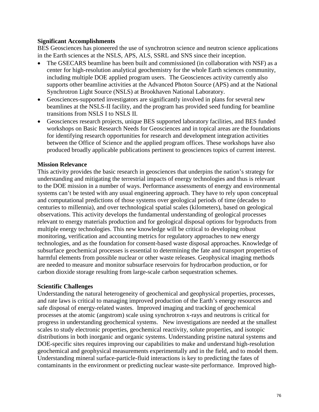### **Significant Accomplishments**

BES Geosciences has pioneered the use of synchrotron science and neutron science applications in the Earth sciences at the NSLS, APS, ALS, SSRL and SNS since their inception.

- The GSECARS beamline has been built and commissioned (in collaboration with NSF) as a center for high-resolution analytical geochemistry for the whole Earth sciences community, including multiple DOE applied program users. The Geosciences activity currently also supports other beamline activities at the Advanced Photon Source (APS) and at the National Synchrotron Light Source (NSLS) at Brookhaven National Laboratory.
- Geosciences-supported investigators are significantly involved in plans for several new beamlines at the NSLS-II facility, and the program has provided seed funding for beamline transitions from NSLS I to NSLS II.
- Geosciences research projects, unique BES supported laboratory facilities, and BES funded workshops on Basic Research Needs for Geosciences and in topical areas are the foundations for identifying research opportunities for research and development integration activities between the Office of Science and the applied program offices. These workshops have also produced broadly applicable publications pertinent to geosciences topics of current interest.

## **Mission Relevance**

This activity provides the basic research in geosciences that underpins the nation's strategy for understanding and mitigating the terrestrial impacts of energy technologies and thus is relevant to the DOE mission in a number of ways. Performance assessments of energy and environmental systems can't be tested with any usual engineering approach. They have to rely upon conceptual and computational predictions of those systems over geological periods of time (decades to centuries to millennia), and over technological spatial scales (kilometers), based on geological observations. This activity develops the fundamental understanding of geological processes relevant to energy materials production and for geological disposal options for byproducts from multiple energy technologies. This new knowledge will be critical to developing robust monitoring, verification and accounting metrics for regulatory approaches to new energy technologies, and as the foundation for consent-based waste disposal approaches. Knowledge of subsurface geochemical processes is essential to determining the fate and transport properties of harmful elements from possible nuclear or other waste releases. Geophysical imaging methods are needed to measure and monitor subsurface reservoirs for hydrocarbon production, or for carbon dioxide storage resulting from large-scale carbon sequestration schemes.

### **Scientific Challenges**

Understanding the natural heterogeneity of geochemical and geophysical properties, processes, and rate laws is critical to managing improved production of the Earth's energy resources and safe disposal of energy-related wastes. Improved imaging and tracking of geochemical processes at the atomic (angstrom) scale using synchrotron x-rays and neutrons is critical for progress in understanding geochemical systems. New investigations are needed at the smallest scales to study electronic properties, geochemical reactivity, solute properties, and isotopic distributions in both inorganic and organic systems. Understanding pristine natural systems and DOE-specific sites requires improving our capabilities to make and understand high-resolution geochemical and geophysical measurements experimentally and in the field, and to model them. Understanding mineral surface-particle-fluid interactions is key to predicting the fates of contaminants in the environment or predicting nuclear waste-site performance. Improved high